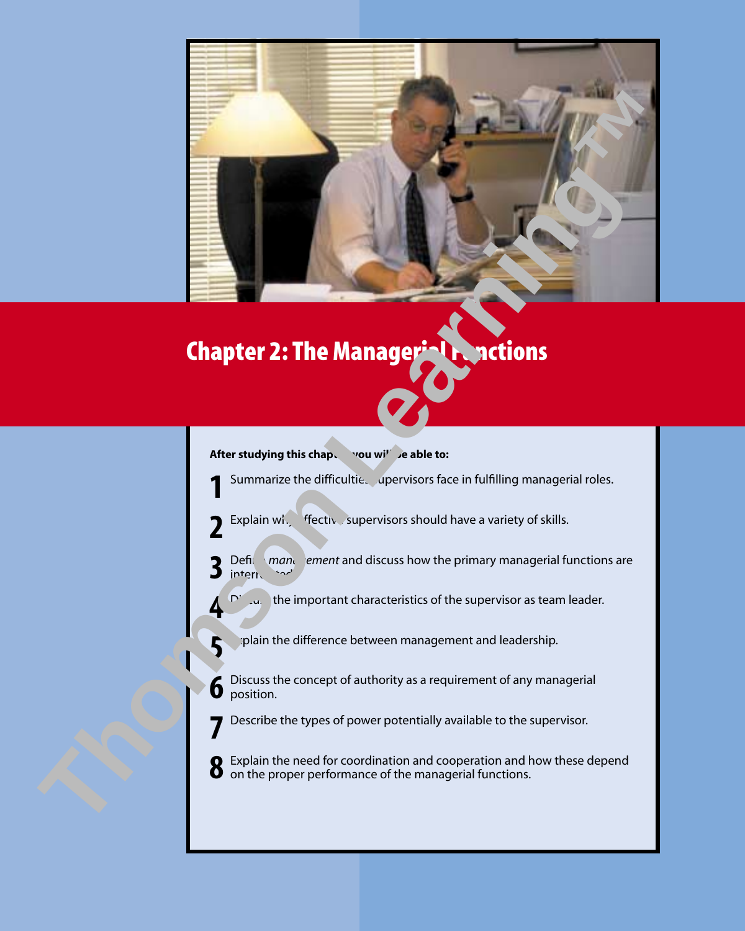

# **Chapter 2: The Managerial Functions**



- Summarize the difficulties apervisors face in fulfilling managerial roles.
- Explain wi<sub>.</sub> fective supervisors should have a variety of skills.
- Defi**namagement** and discuss how the primary managerial functions are interr
	- **4** The important characteristics of the supervisor as team leader.
	- plain the difference between management and leadership.
- **6** Discuss the concept of authority as a requirement of any managerial nosition position.
	- **7** Describe the types of power potentially available to the supervisor.
- 8 Explain the need for coordination and cooperation and how these depend<br>8 on the proper performance of the managerial functions.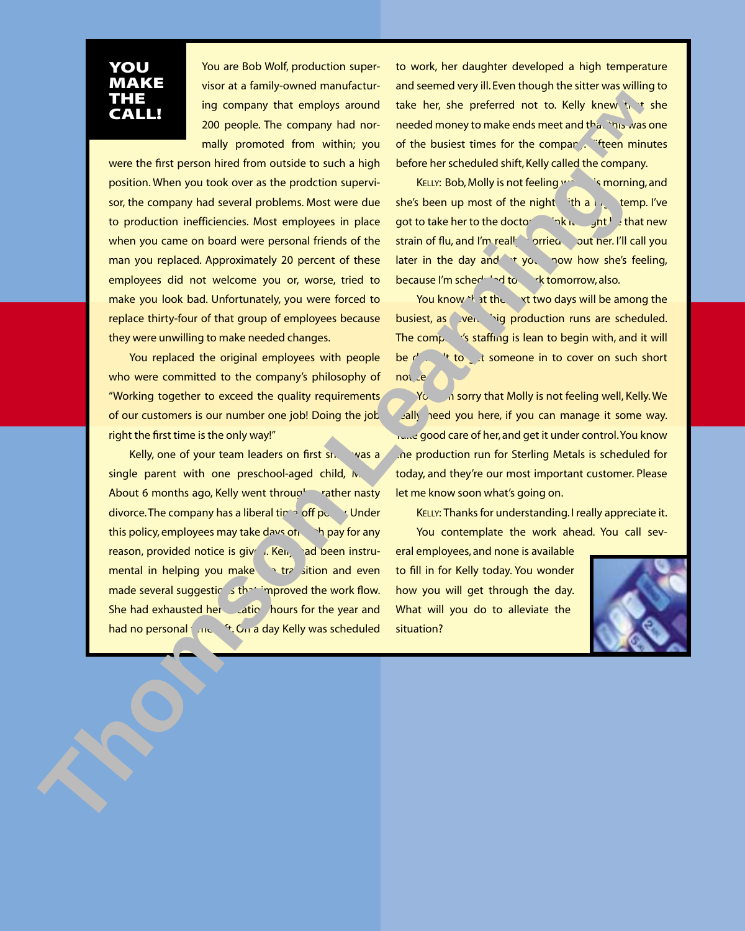# **YOU MAKE THE**

You are Bob Wolf, production supervisor at a family-owned manufacturing company that employs around 200 people. The company had normally promoted from within; you

were the first person hired from outside to such a high position. When you took over as the prodction supervisor, the company had several problems. Most were due to production inefficiencies. Most employees in place when you came on board were personal friends of the man you replaced. Approximately 20 percent of these employees did not welcome you or, worse, tried to make you look bad. Unfortunately, you were forced to replace thirty-four of that group of employees because they were unwilling to make needed changes. **CALL To the stamp with the means of the three of the three based in the state of the company is the company that energy a mound late here, she predicted on the interval and the means and three the first case of the compan** 

You replaced the original employees with people who were committed to the company's philosophy of "Working together to exceed the quality requirements of our customers is our number one job! Doing the job right the first time is the only way!"

Kelly, one of your team leaders on first ship was a single parent with one preschool-aged child,  $N_{\text{tot}}$ About 6 months ago, Kelly went through a rather nasty divorce. The company has a liberal time-off policy. Under this policy, employees may take days of whith pay for any reason, provided notice is given. Kelly had been instrumental in helping you make  $\rightarrow$  transition and even made several suggestic  $\int$  that improved the work flow. She had exhausted her  $\Box$ atio hours for the year and had no personal time life. On a day Kelly was scheduled

to work, her daughter developed a high temperature and seemed very ill. Even though the sitter was willing to take her, she preferred not to. Kelly knew that she needed money to make ends meet and that this was one of the busiest times for the compary. Freen minutes before her scheduled shift, Kelly called the company.

KELLY: Bob, Molly is not feeling well this morning, and she's been up most of the night  $\mathbf{F}$  ith a  $\mathbf{F}_{\text{eq}}$  temp. I've got to take her to the doctor ink it might be that new strain of flu, and I'm really orried about her. I'll call you later in the day and  $\rightarrow$  you how she's feeling, because I'm scheduled to whist tomorrow, also.

You know \*l at the xt two days will be among the busiest, as vere big production runs are scheduled. The company's staffing is lean to begin with, and it will be  $d' = \frac{d}{dx}$  to get someone in to cover on such short notice.

You it sorry that Molly is not feeling well, Kelly. We all need you here, if you can manage it some way. ..... good care of her, and get it under control. You know the production run for Sterling Metals is scheduled for today, and they're our most important customer. Please let me know soon what's going on.

KELLY: Thanks for understanding. I really appreciate it. You contemplate the work ahead. You call sev-

eral employees, and none is available to fill in for Kelly today. You wonder how you will get through the day. What will you do to alleviate the situation?

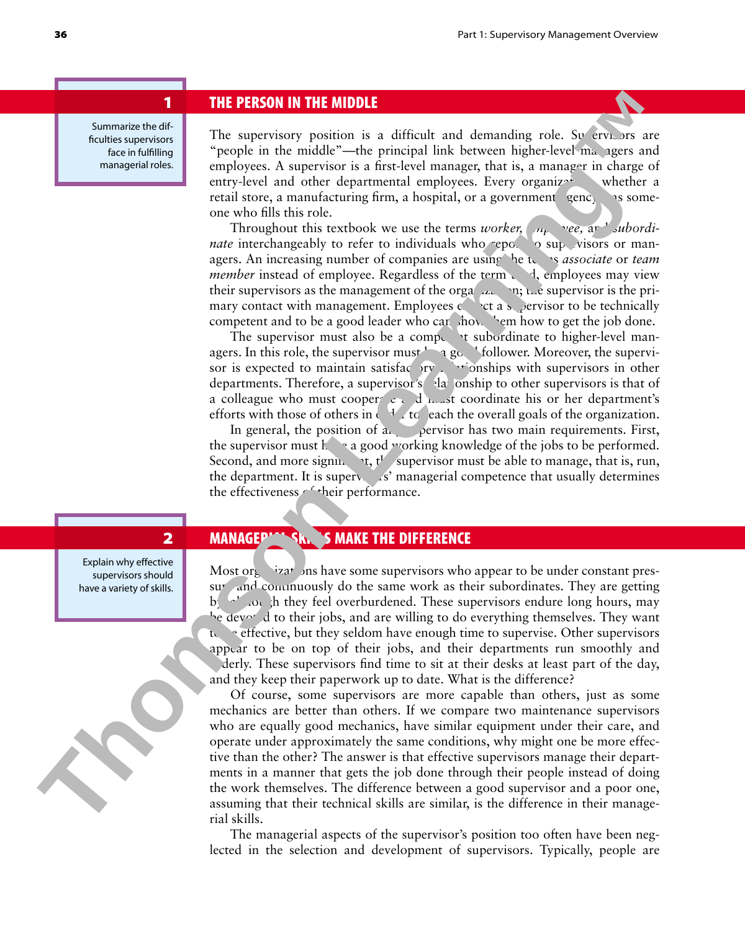## **1 THE PERSON IN THE MIDDLE**

Summarize the difficulties supervisors face in fulfilling managerial roles.

The supervisory position is a difficult and demanding role. Sypervisory are "people in the middle"—the principal link between higher-level may gers and employees. A supervisor is a first-level manager, that is, a manager in charge of entry-level and other departmental employees. Every organized whether a retail store, a manufacturing firm, a hospital, or a government gency is someone who fills this role.

Throughout this textbook we use the terms *worker*,  $\mu_k$  vee, and *subordinate* interchangeably to refer to individuals who reported by visors or managers. An increasing number of companies are using the terms *associate* or *team member* instead of employee. Regardless of the term and employees may view their supervisors as the management of the orga $\infty$  on;  $\mathfrak{u}$  e supervisor is the primary contact with management. Employees  $\epsilon$  expect a supervisor to be technically competent and to be a good leader who can show "vem how to get the job done.

The supervisor must also be a competent subordinate to higher-level managers. In this role, the supervisor must  $\log_{\epsilon} 1$  follower. Moreover, the supervisor is expected to maintain satisfactory relationships with supervisors in other departments. Therefore, a supervisor's lationship to other supervisors is that of a colleague who must cooper  $\Box$   $\Box$   $\Box$  and coordinate his or her department's efforts with those of others in  $\frac{1}{2}$  to each the overall goals of the organization.

In general, the position of  $a_n$  pervisor has two main requirements. First, the supervisor must  $h \rightarrow a$  good working knowledge of the jobs to be performed. Second, and more significant, the supervisor must be able to manage, that is, run, the department. It is supervised is managerial competence that usually determines the effectiveness  $\sim$ <sup>c</sup> their performance.

## **2**

# **MANAGEPHONSKILLS MAKE THE DIFFERENCE**

Explain why effective supervisors should have a variety of skills.

Most organizations have some supervisors who appear to be under constant pressure and continuously do the same work as their subordinates. They are getting by although they feel overburdened. These supervisors endure long hours, may be devoted to their jobs, and are willing to do everything themselves. They want  $t_{\text{tot}}$  are effective, but they seldom have enough time to supervise. Other supervisors appear to be on top of their jobs, and their departments run smoothly and derly. These supervisors find time to sit at their desks at least part of the day, and they keep their paperwork up to date. What is the difference?

Of course, some supervisors are more capable than others, just as some mechanics are better than others. If we compare two maintenance supervisors who are equally good mechanics, have similar equipment under their care, and operate under approximately the same conditions, why might one be more effective than the other? The answer is that effective supervisors manage their departments in a manner that gets the job done through their people instead of doing the work themselves. The difference between a good supervisor and a poor one, assuming that their technical skills are similar, is the difference in their managerial skills. THE PERSON IN THE MIDDLE<br>
Frachmatics contents to provide the specific and demandian role. Somewhere,<br>
The properties in simple the military and the specific and demandian role of the specific<br>
methods and state department

The managerial aspects of the supervisor's position too often have been neglected in the selection and development of supervisors. Typically, people are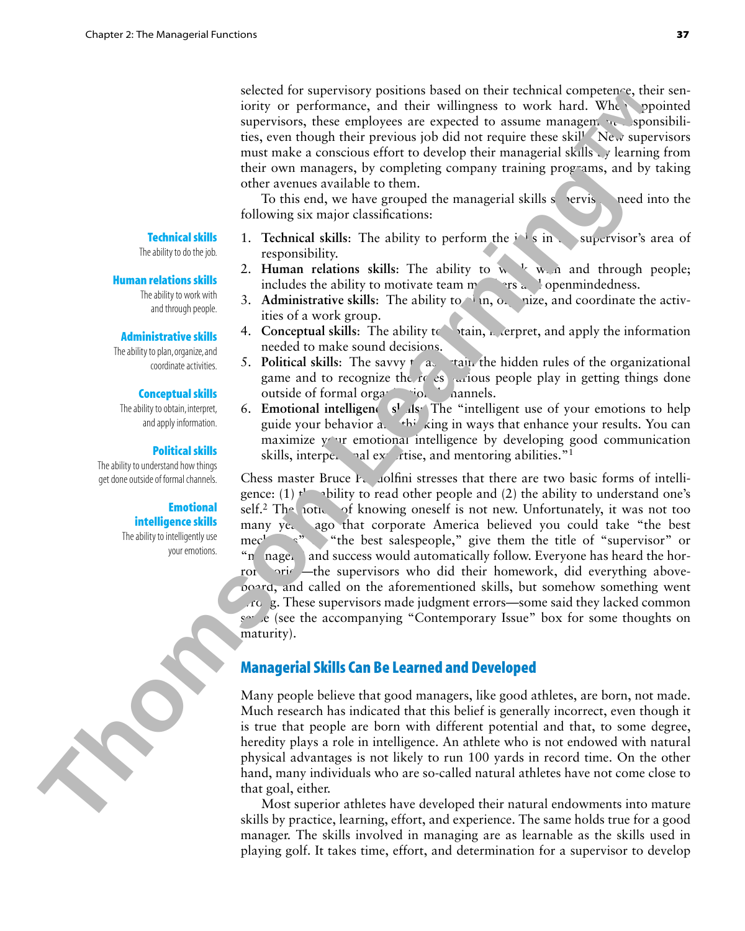selected for supervisory positions based on their technical competen their seniority or performance, and their willingness to work hard. When  $a_k$  ointed supervisors, these employees are expected to assume management responsibilities, even though their previous job did not require these  $\frac{sk}{l}$ . New supervisors must make a conscious effort to develop their managerial skills  $\mathbf b$  learning from their own managers, by completing company training programs, and by taking other avenues available to them.

To this end, we have grouped the managerial skills servisory need into the following six major classifications:

- 1. **Technical skills**: The ability to perform the  $i \circ s$  in supervisor's area of responsibility.
- 2. **Human relations skills:** The ability to w<sup>1</sup> w<sub>1</sub> and through people; includes the ability to motivate team  $m$  ars and openmindedness.
- 3. **Administrative skills:** The ability to plan, organize, and coordinate the activities of a work group.
- 4. **Conceptual skills**: The ability to **obtain, interpret, and apply the information** needed to make sound decisions.
- 5. **Political skills:** The savvy  $\frac{1}{2}$  tain the hidden rules of the organizational game and to recognize the roles various people play in getting things done outside of formal organizational channels.
- 6. **Emotional intelligen** skills are "intelligent use of your emotions to help guide your behavior and thinking in ways that enhance your results. You can maximize  $y$  if emotional intelligence by developing good communication skills, interpersonal expertise, and mentoring abilities."<sup>1</sup>

Chess master Bruce  $P_a$  aolfini stresses that there are two basic forms of intelligence: (1)  $t^{\dagger}$  bility to read other people and (2) the ability to understand one's self.<sup>2</sup> The notive of knowing oneself is not new. Unfortunately, it was not too many ye. ago that corporate America believed you could take "the best mechanics" or "the best salespeople," give them the title of "supervisor" or "n nager, and success would automatically follow. Everyone has heard the horror stories—the supervisors who did their homework, did everything aboveboard, and called on the aforementioned skills, but somehow something went x  $\alpha$  g. These supervisors made judgment errors—some said they lacked common  $s$  esters (see the accompanying "Contemporary Issue" box for some thoughts on maturity). s between the technology of particular competents, the second to the consideration of the second of the second of the second of the second of the second of the second of the second of the second of the second of the secon

# **Managerial Skills Can Be Learned and Developed**

Many people believe that good managers, like good athletes, are born, not made. Much research has indicated that this belief is generally incorrect, even though it is true that people are born with different potential and that, to some degree, heredity plays a role in intelligence. An athlete who is not endowed with natural physical advantages is not likely to run 100 yards in record time. On the other hand, many individuals who are so-called natural athletes have not come close to that goal, either.

Most superior athletes have developed their natural endowments into mature skills by practice, learning, effort, and experience. The same holds true for a good manager. The skills involved in managing are as learnable as the skills used in playing golf. It takes time, effort, and determination for a supervisor to develop

## **Technical skills**

The ability to do the job.

#### **Human relations skills**

The ability to work with and through people.

### **Administrative skills**

The ability to plan, organize, and coordinate activities.

## **Conceptual skills**

The ability to obtain, interpret, and apply information.

### **Political skills**

The ability to understand how things get done outside of formal channels.

## **Emotional intelligence skills**

The ability to intelligently use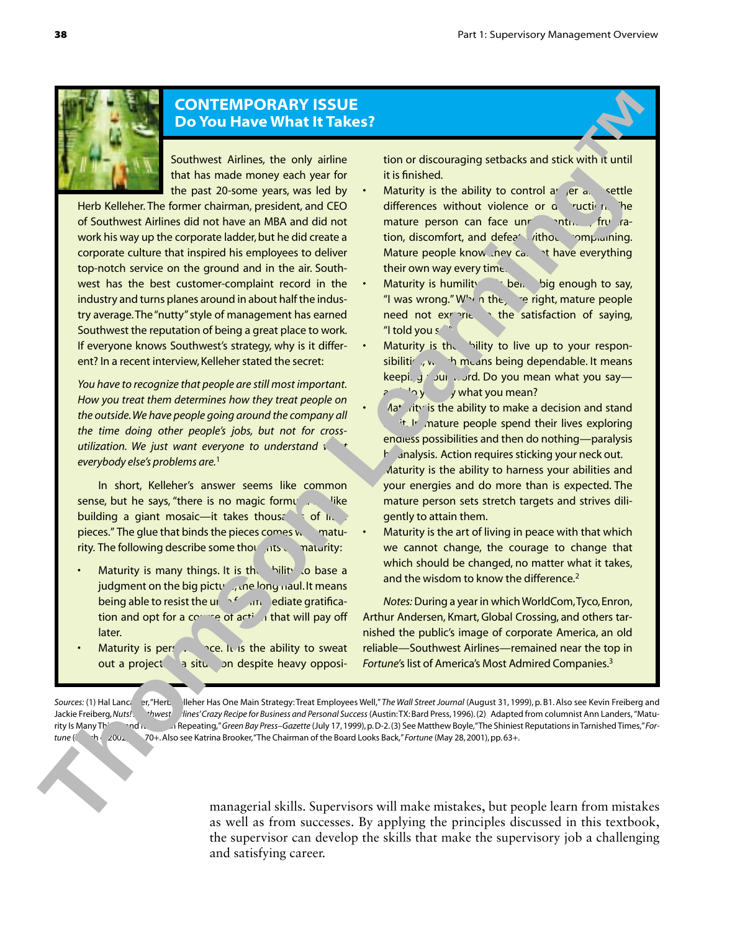

# **CONTEMPORARY ISSUE Do You Have What It Takes?**

Southwest Airlines, the only airline that has made money each year for the past 20-some years, was led by •

Herb Kelleher. The former chairman, president, and CEO of Southwest Airlines did not have an MBA and did not work his way up the corporate ladder, but he did create a corporate culture that inspired his employees to deliver top-notch service on the ground and in the air. Southwest has the best customer-complaint record in the industry and turns planes around in about half the industry average.The "nutty" style of management has earned Southwest the reputation of being a great place to work. If everyone knows Southwest's strategy, why is it different? In a recent interview, Kelleher stated the secret: **Excess The plane term interview continue to the endomeration of the see Katrina Brooker (March 2, 2001), and the see Katrina Brooker (March 2, 2001), and the Chairman of the Chairman of the Chairman of the Chairman of th** 

*You have to recognize that people are still most important. How you treat them determines how they treat people on the outside.We have people going around the company all the time doing other people's jobs, but not for crossutilization. We just want everyone to understand v. everybody else's problems are.*<sup>1</sup>

In short, Kelleher's answer seems like common sense, but he says, "there is no magic formula. It's like building a giant mosaic—it takes thousands of  $\ln n$ pieces." The glue that binds the pieces comes with maturity. The following describe some thoughts on maturity:

- Maturity is many things. It is the bility to base a judgment on the big pictulation of long haul. It means being able to resist the unlet formulate gratification and opt for a course of  $a<sup>2+</sup>$  that will pay off later.
- Maturity is persection once. It is the ability to sweat out a project a situ on despite heavy opposi-

tion or discouraging setbacks and stick with it until it is finished.

Maturity is the ability to control and errical settle differences without violence or a ructi n. he mature person can face unrleased in the ration, discomfort, and defeat ithout complaining. Mature people know riev cannot have everything their own way every time.

Maturity is humility.  $\cdot$  being big enough to say, "I was wrong."  $W^{\prime}$  n the reght, mature people need not experience the satisfaction of saying, "I told you  $s$ "

Maturity is the bility to live up to your responsibilities, which means being dependable. It means keeping your word. Do you mean what you say—  $'$ ay you what you mean?

Aat  $\pi$  is the ability to make a decision and stand  $\mathfrak{h}$ . In mature people spend their lives exploring engless possibilities and then do nothing—paralysis

- $\mathcal{V}$  analysis. Action requires sticking your neck out. • Maturity is the ability to harness your abilities and your energies and do more than is expected. The mature person sets stretch targets and strives diligently to attain them.
- Maturity is the art of living in peace with that which we cannot change, the courage to change that which should be changed, no matter what it takes, and the wisdom to know the difference.<sup>2</sup>

*Notes:* During a year in which WorldCom,Tyco,Enron, Arthur Andersen, Kmart, Global Crossing, and others tarnished the public's image of corporate America, an old reliable—Southwest Airlines—remained near the top in *Fortune*'s list of America's Most Admired Companies.3

Sources: (1) Hal Lancaster," Herb Meher Has One Main Strategy: Treat Employees Well," The Wall Street Journal (August 31, 1999), p. B1. Also see Kevin Freiberg and Jackie Freiberg, Nuts! *Stywest Aines' Crazy Recipe for Business and Personal Success* (Austin:TX: Bard Press, 1996). (2) Adapted from columnist Ann Landers, "Maturity Is Many Thimany Things and It, and It also Repeating," Green Bay Press-Gazette (July 17, 1999), p. D-2. (3) See Matthew Boyle,"The Shiniest Reputations in Tarnished Times," For-

> managerial skills. Supervisors will make mistakes, but people learn from mistakes as well as from successes. By applying the principles discussed in this textbook, the supervisor can develop the skills that make the supervisory job a challenging and satisfying career.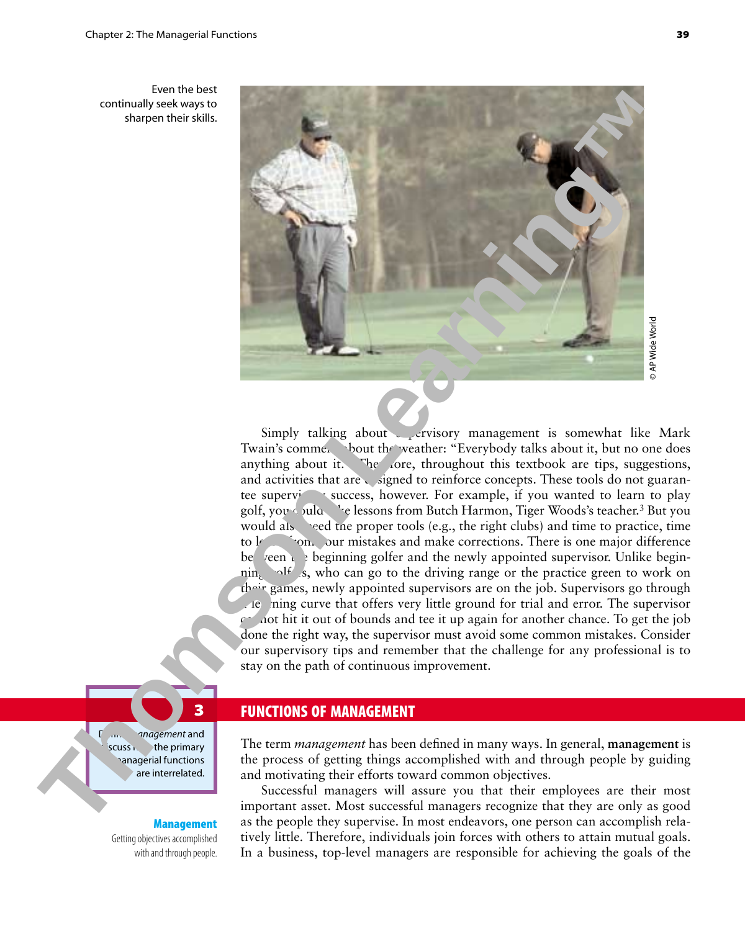

Even the best continually seek ways to sharpen their skills.

> Simply talking about supervisory management is somewhat like Mark Twain's comme. bout the weather: "Everybody talks about it, but no one does anything about it. The fore, throughout this textbook are tips, suggestions, and activities that are  $\epsilon$  signed to reinforce concepts. These tools do not guarantee superviest success, however. For example, if you wanted to learn to play golf, you could the lessons from Butch Harmon, Tiger Woods's teacher.<sup>3</sup> But you would also beed the proper tools (e.g., the right clubs) and time to practice, time to learn from your mistakes and make corrections. There is one major difference be zeen the beginning golfer and the newly appointed supervisor. Unlike begin- $\min_{\alpha}$  all s, who can go to the driving range or the practice green to work on their games, newly appointed supervisors are on the job. Supervisors go through  $\alpha$  learning curve that offers very little ground for trial and error. The supervisor Lot hit it out of bounds and tee it up again for another chance. To get the job done the right way, the supervisor must avoid some common mistakes. Consider our supervisory tips and remember that the challenge for any professional is to stay on the path of continuous improvement.

## **FUNCTIONS OF MANAGEMENT**

D<sub>efine</sub> *magement* and scuss the primary anagerial functions are interrelated.

**3**

**Management** Getting objectives accomplished with and through people.

The term *management* has been defined in many ways. In general, **management** is the process of getting things accomplished with and through people by guiding and motivating their efforts toward common objectives.

Successful managers will assure you that their employees are their most important asset. Most successful managers recognize that they are only as good as the people they supervise. In most endeavors, one person can accomplish relatively little. Therefore, individuals join forces with others to attain mutual goals. In a business, top-level managers are responsible for achieving the goals of the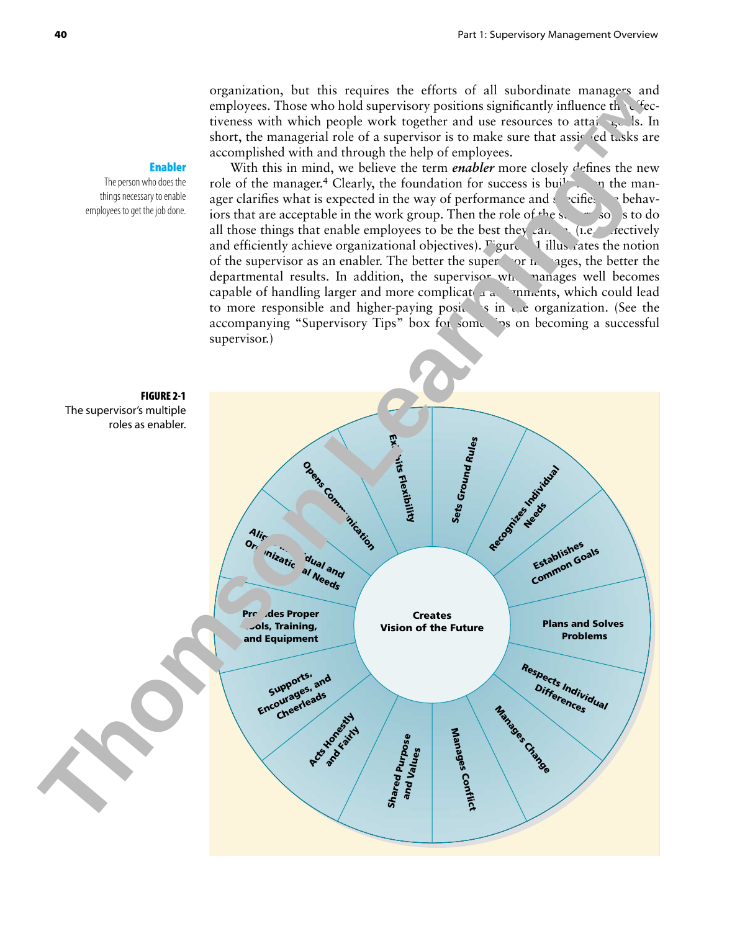# organization, but this requires the efforts of all subordinate managers and employees. Those who hold supervisory positions significantly influence the  $\pm$   $\pm$ tiveness with which people work together and use resources to attain  $\tau_{0a}$ . In short, the managerial role of a supervisor is to make sure that assigned tasks are accomplished with and through the help of employees.

With this in mind, we believe the term *enabler* more closely *defines* the new role of the manager.<sup>4</sup> Clearly, the foundation for success is built when the manager clarifies what is expected in the way of performance and specifies the behaviors that are acceptable in the work group. Then the role of the sum soles is to do all those things that enable employees to be the best they can be, (i.e., effectively and efficiently achieve organizational objectives).  $\Gamma$  gure 2-1 illustrates the notion of the supervisor as an enabler. The better the supervisor manages, the better the departmental results. In addition, the supervisor who manages well becomes capable of handling larger and more complicated as  $\overline{\phantom{a}}$  must small could lead to more responsible and higher-paying positions in the organization. (See the accompanying "Supervisory Tips" box for some the some tips on becoming a successful supervisor.)



## **Enabler**

The person who does the things necessary to enable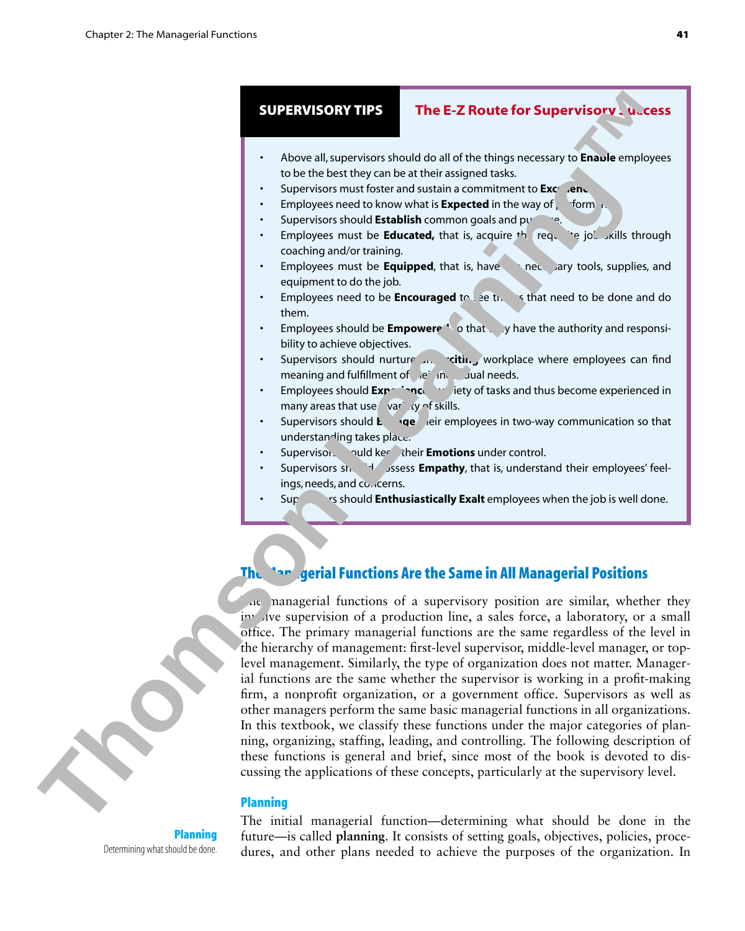#### **The E-Z Route for Supervisory Success SUPERVISORY TIPS**

- Above all, supervisors should do all of the things necessary to **Enab.** *e* employees to be the best they can be at their assigned tasks.
- **Supervisors must foster and sustain a commitment to Excellence.**
- Employees need to know what is **Expected** in the way of performance.
- Supervisors should **Establish** common goals and purpose.
- Employees must be **Educated,** that is, acquire the requisite jc. skills through coaching and/or training.
- Employees must be **Equipped**, that is, have necessary tools, supplies, and equipment to do the job.
- Employees need to be **Encouraged** to see their strings that need to be done and do them.
- Employees should be **Empowere**  $\overrightarrow{0}$  that  $\overrightarrow{y}$  have the authority and responsibility to achieve objectives.
- Supervisors should nurture an **Extimated workplace where employees can find** meaning and fulfillment of  $\overrightarrow{e}$  individual needs.
- Employees should **Experimate and various and thus become experienced in** many areas that use varived fiskills.
- Supervisors should **L**etter employees in two-way communication so that understan<sup>d</sup>ing takes place.
- Supervisor<sub>s</sub> and keep their **Emotions** under control.
- Supervisors should ussess **Empathy**, that is, understand their employees' feelings, needs, and concerns.
	- Supervisors should **Enthusiastically Exalt** employees when the job is well done.

# **The Managerial Functions Are the Same in All Managerial Positions**

In managerial functions of a supervisory position are similar, whether they we supervision of a production line, a sales force, a laboratory, or a small office. The primary managerial functions are the same regardless of the level in the hierarchy of management: first-level supervisor, middle-level manager, or toplevel management. Similarly, the type of organization does not matter. Managerial functions are the same whether the supervisor is working in a profit-making firm, a nonprofit organization, or a government office. Supervisors as well as other managers perform the same basic managerial functions in all organizations. In this textbook, we classify these functions under the major categories of planning, organizing, staffing, leading, and controlling. The following description of these functions is general and brief, since most of the book is devoted to discussing the applications of these concepts, particularly at the supervisory level. **SUPERVISORY TIPS The E-Z Route for Supervison and Supervison and Supervison and Supervison and Supervison and Supervison and Supervison and Supervison And Supervison and Supervison And Supervison and Supervison And Super** 

#### **Planning**

Determining what should be done.

The initial managerial function—determining what should be done in the future—is called **planning**. It consists of setting goals, objectives, policies, procedures, and other plans needed to achieve the purposes of the organization. In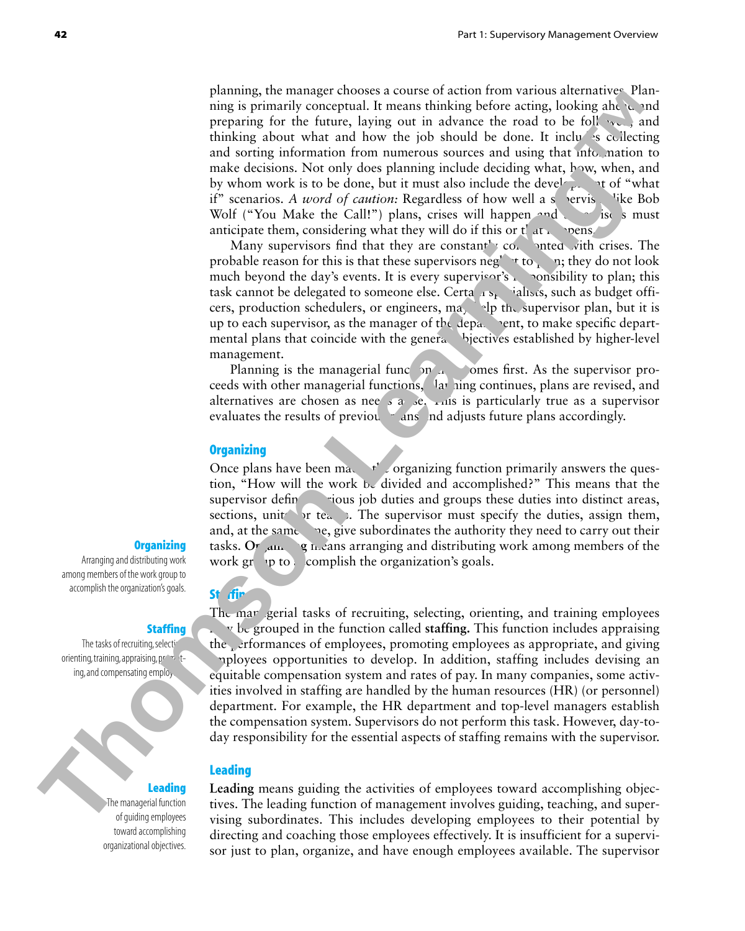planning, the manager chooses a course of action from various alternative Planning is primarily conceptual. It means thinking before acting, looking ahead and preparing for the future, laying out in advance the road to be  $f_0$ <sup>1</sup> thinking about what and how the job should be done. It includes concerting and sorting information from numerous sources and using that information to make decisions. Not only does planning include deciding what,  $h$  w, when, and by whom work is to be done, but it must also include the development of "what if" scenarios. *A word of caution:* Regardless of how well a servisor like Bob Wolf ("You Make the Call!") plans, crises will happen and supervisors must anticipate them, considering what they will do if this or  $t'$  at happens. plantarity the meaning reboxes is control for a<br>transmitively the strain of a strain control for the first control form of the<br>complete property in the strain and the strain control in the strain control in<br>the strain con

Many supervisors find that they are constant's confronted with crises. The probable reason for this is that these supervisors neg<sup>lect</sup> to plan; they do not look much beyond the day's events. It is every supervisor's responsibility to plan; this task cannot be delegated to someone else. Certa $\overline{a}$  is else such as budget officers, production schedulers, or engineers, ma<sub>y</sub> help the supervisor plan, but it is up to each supervisor, as the manager of the departmental plans that coincide with the general objectives established by higher-level management.

Planning is the managerial function  $\ln$  comes first. As the supervisor proceeds with other managerial functions, lart ling continues, plans are revised, and alternatives are chosen as needs a rise. This is particularly true as a supervisor evaluates the results of previous  $\mathbb{R}^n$  and adjusts future plans accordingly.

#### **Organizing**

Once plans have been may  $\epsilon$  organizing function primarily answers the question, "How will the work be divided and accomplished?" This means that the supervisor defined various job duties and groups these duties into distinct areas, sections, unit or teams. The supervisor must specify the duties, assign them, and, at the same  $\forall$   $\theta$ , give subordinates the authority they need to carry out their tasks. **Organizing** means arranging and distributing work among members of the work  $gr$  up to complish the organization's goals.

# The mar-gerial tasks of recruiting, selecting, orienting, and training employees we be grouped in the function called **staffing.** This function includes appraising the erformances of employees, promoting employees as appropriate, and giving employees opportunities to develop. In addition, staffing includes devising an equitable compensation system and rates of pay. In many companies, some activities involved in staffing are handled by the human resources (HR) (or personnel) department. For example, the HR department and top-level managers establish the compensation system. Supervisors do not perform this task. However, day-today responsibility for the essential aspects of staffing remains with the supervisor.

## **Leading**

**St** dir

**Leading** means guiding the activities of employees toward accomplishing objectives. The leading function of management involves guiding, teaching, and supervising subordinates. This includes developing employees to their potential by directing and coaching those employees effectively. It is insufficient for a supervisor just to plan, organize, and have enough employees available. The supervisor

#### **Organizing**

Arranging and distributing work among members of the work group to accomplish the organization's goals.

#### **Staffing**

The tasks of recruiting, selection orienting, training, appraising, promoting, and compensating employ.

# **Leading**

The managerial function of guiding employees organizational objectives.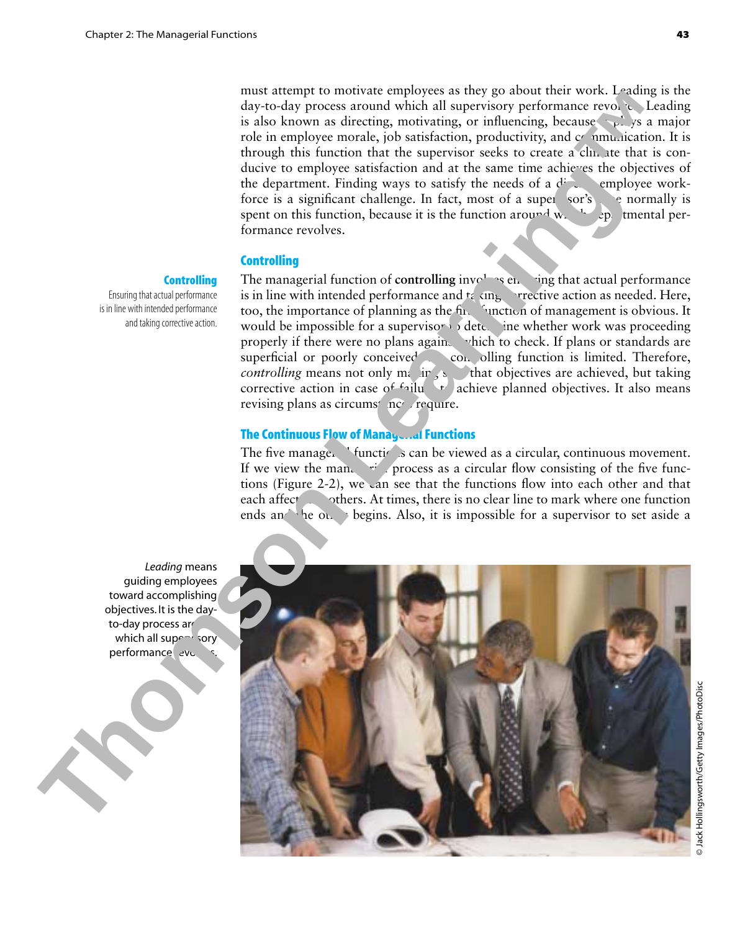must attempt to motivate employees as they go about their work.  $L^{\dagger}$  ding is the day-to-day process around which all supervisory performance revolves. Leading is also known as directing, motivating, or influencing, because it plays a major role in employee morale, job satisfaction, productivity, and  $\epsilon$ , munication. It is through this function that the supervisor seeks to create a cline to that is conducive to employee satisfaction and at the same time achieves the objectives of the department. Finding ways to satisfy the needs of a  $d^2$ . employee workforce is a significant challenge. In fact, most of a supervisor's the normally is spent on this function, because it is the function around w<sub>hich</sub> departmental performance revolves.

#### **Controlling**

**Controlling** Ensuring that actual performance is in line with intended performance The managerial function of **controlling** involves ensuring that actual performance is in line with intended performance and  $t_k$  and corrective action as needed. Here, too, the importance of planning as the firm function of management is obvious. It would be impossible for a supervisor  $\rightarrow$  determine whether work was proceeding properly if there were no plans again. which to check. If plans or standards are superficial or poorly conceived  $\therefore$  controlling function is limited. Therefore, *controlling* means not only making sure that objectives are achieved, but taking corrective action in case of  $f$ ailu $f$  achieve planned objectives. It also means revising plans as circums  $\alpha$  require.

# **The Continuous Flow of Managerial Functions**

The five managerial functions can be viewed as a circular, continuous movement. If we view the managerial process as a circular flow consisting of the five functions (Figure 2-2), we can see that the functions flow into each other and that each affect others. At times, there is no clear line to mark where one function ends and the other begins. Also, it is impossible for a supervisor to set aside a

*Leading* means guiding employees toward accomplishing objectives. It is the dayto-day process ard which all supervisory performance eve

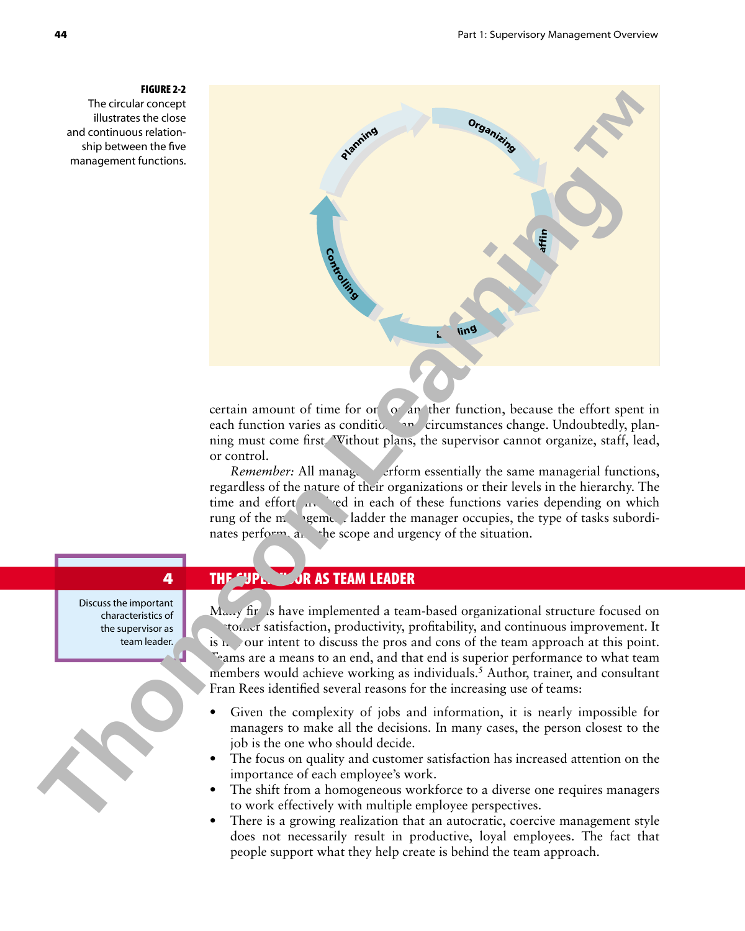

#### **FIGURE 2-2**

The circular concept illustrates the close and continuous relationship between the five

> certain amount of time for or or an ther function, because the effort spent in each function varies as conditions and circumstances change. Undoubtedly, planning must come first<sup>ov</sup>ithout plans, the supervisor cannot organize, staff, lead, or control.

> *Remember:* All manage erform essentially the same managerial functions, regardless of the nature of their organizations or their levels in the hierarchy. The time and effort  $\mu$ , ved in each of these functions varies depending on which rung of the manager occupies, the type of tasks subordinates perform, and the scope and urgency of the situation.

Discuss the important characteristics of the supervisor as team leader.

**4**

# **THE SUPERVISOR AS TEAM LEADER**

 $M_{\alpha, \alpha\gamma}$  fir s have implemented a team-based organizational structure focused on to...cr satisfaction, productivity, profitability, and continuous improvement. It is  $\overline{h}$  our intent to discuss the pros and cons of the team approach at this point. Teams are a means to an end, and that end is superior performance to what team members would achieve working as individuals.<sup>5</sup> Author, trainer, and consultant Fran Rees identified several reasons for the increasing use of teams:

- Given the complexity of jobs and information, it is nearly impossible for managers to make all the decisions. In many cases, the person closest to the job is the one who should decide.
- The focus on quality and customer satisfaction has increased attention on the importance of each employee's work.
- The shift from a homogeneous workforce to a diverse one requires managers to work effectively with multiple employee perspectives.
- There is a growing realization that an autocratic, coercive management style does not necessarily result in productive, loyal employees. The fact that people support what they help create is behind the team approach.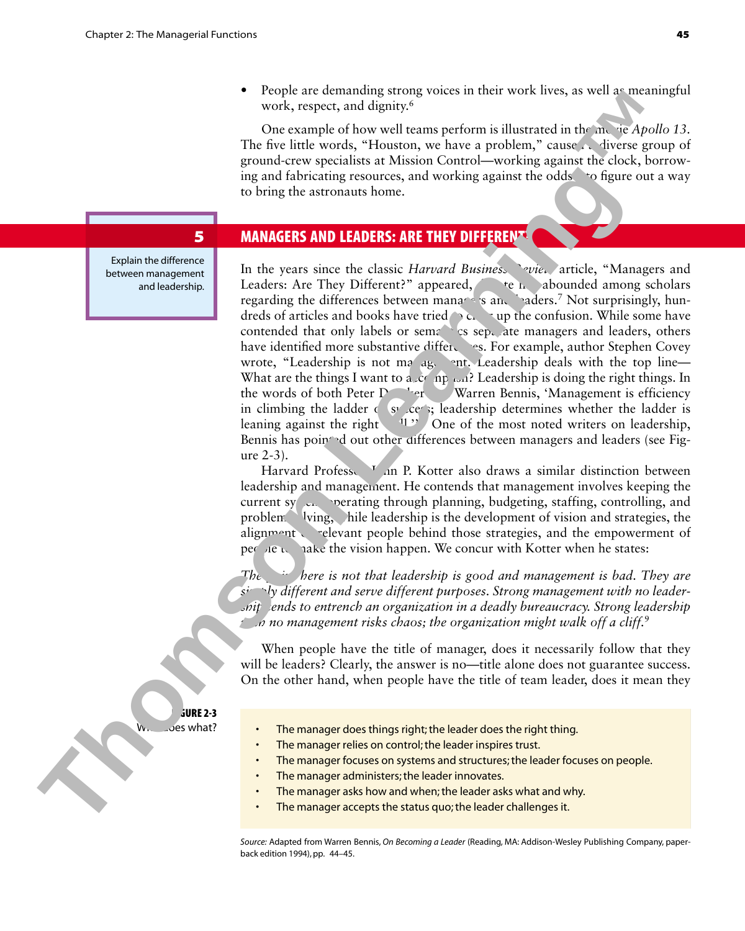• People are demanding strong voices in their work lives, as well a  $\sim$  reaningful work, respect, and dignity.<sup>6</sup>

One example of how well teams perform is illustrated in the movie *Apollo* 13. The five little words, "Houston, we have a problem," cause  $\Gamma$  a diverse group of ground-crew specialists at Mission Control—working against the clock, borrowing and fabricating resources, and working against the odds—to figure out a way to bring the astronauts home.

# **MANAGERS AND LEADERS: ARE THEY DIFFERENT?**

Explain the difference between management and leadership.

**5**

In the years since the classic *Harvard Business Pvie.* article, "Managers and Leaders: Are They Different?" appeared, the habounded among scholars regarding the differences between managers and leaders.<sup>7</sup> Not surprisingly, hundreds of articles and books have tried  $\sim$  clear up the confusion. While some have contended that only labels or semantics separate managers and leaders, others have identified more substantive differences. For example, author Stephen Covey wrote, "Leadership is not ma<sub>nd</sub> agement. Leadership deals with the top line— What are the things I want to a complish? Leadership is doing the right things. In the words of both Peter  $\Gamma$  and Warren Bennis, 'Management is efficiency in climbing the ladder  $\overline{y}$  success; leadership determines whether the ladder is leaning against the right  $\frac{d}{dx}$  One of the most noted writers on leadership, Bennis has poir ed out other differences between managers and leaders (see Figure 2-3). Propies are demanding trong words in their work lives, as well as the corresponding from expansion of the methods of the second transfer of the second transfer of the second transfer of the second transfer of the second t

Harvard Professor J on P. Kotter also draws a similar distinction between leadership and management. He contends that management involves keeping the current sy expression operating through planning, budgeting, staffing, controlling, and problem lying, hile leadership is the development of vision and strategies, the alignment elevant people behind those strategies, and the empowerment of per  $\alpha$  is make the vision happen. We concur with Kotter when he states:

*The point here is not that leadership is good and management is bad. They are si* W different and serve different purposes. Strong management with no leader*ship tends to entrench an organization in a deadly bureaucracy. Strong leadership In* no management risks chaos; the organization might walk off a cliff.<sup>9</sup>

When people have the title of manager, does it necessarily follow that they will be leaders? Clearly, the answer is no—title alone does not guarantee success. On the other hand, when people have the title of team leader, does it mean they

**FIGURE 2-3** des what?

- The manager does things right; the leader does the right thing.
- The manager relies on control; the leader inspires trust.
- The manager focuses on systems and structures; the leader focuses on people.
- The manager administers; the leader innovates.
- The manager asks how and when; the leader asks what and why.
- The manager accepts the status quo; the leader challenges it.

*Source:* Adapted from Warren Bennis, *On Becoming a Leader* (Reading, MA: Addison-Wesley Publishing Company, paperback edition 1994), pp. 44–45.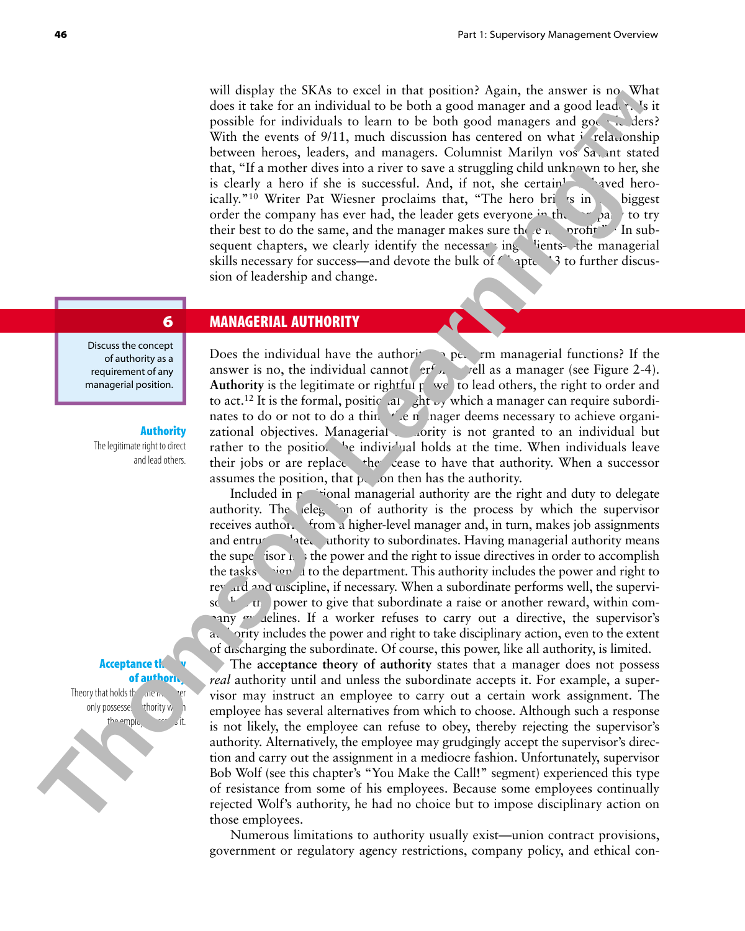will display the SKAs to excel in that position? Again, the answer is no. What does it take for an individual to be both a good manager and a good leader? It it possible for individuals to learn to be both good managers and  $g \circ \chi$  leaders? With the events of  $9/11$ , much discussion has centered on what  $\sim$  relationship between heroes, leaders, and managers. Columnist Marilyn vos Savant stated that, "If a mother dives into a river to save a struggling child unknown to her, she is clearly a hero if she is successful. And, if not, she certain a ved heroically."<sup>10</sup> Writer Pat Wiesner proclaims that, "The hero brings in the biggest order the company has ever had, the leader gets everyone in the company to try their best to do the same, and the manager makes sure there is a profit. In subsequent chapters, we clearly identify the necessary ing lients—the managerial skills necessary for success—and devote the bulk of  $\bigcap$  apter 13 to further discussion of leadership and change. will display to SKAs to excell that points in the maximized and solvent in the maximization of the state form including in the maximization of the state form including in the maximization of the state of the state of the

## **MANAGERIAL AUTHORITY**

Discuss the concept of authority as a requirement of any managerial position.

## **Authority**

**6**

The legitimate right to direct and lead others.

#### **Acceptance the** of authorit

Theory that holds the manager only possesse. thority w Does the individual have the authority to perform managerial functions? If the answer is no, the individual cannot  $er<sub>1</sub>$  well as a manager (see Figure 2-4). Authority is the legitimate or rightful power to lead others, the right to order and to act.<sup>12</sup> It is the formal, positic and sheaking which a manager can require subordinates to do or not to do a thing the mager deems necessary to achieve organizational objectives. Managerial and activity is not granted to an individual but rather to the position the individual holds at the time. When individuals leave their jobs or are replace.  $\Delta t$  cease to have that authority. When a successor assumes the position, that  $p_{\text{c}}$  on then has the authority.

Included in  $\mathbf{p}$  ional managerial authority are the right and duty to delegate authority. The delegation of authority is the process by which the supervisor receives authority from a higher-level manager and, in turn, makes job assignments and entry the authority to subordinates. Having managerial authority means the supervisor has the power and the right to issue directives in order to accomplish the tasks assigned to the department. This authority includes the power and right to rey and and uiscipline, if necessary. When a subordinate performs well, the supervi- $\frac{1}{\pi}$  from power to give that subordinate a raise or another reward, within company guelines. If a worker refuses to carry out a directive, the supervisor's a. `ority includes the power and right to take disciplinary action, even to the extent of discharging the subordinate. Of course, this power, like all authority, is limited.

The **acceptance theory of authority** states that a manager does not possess *real* authority until and unless the subordinate accepts it. For example, a supervisor may instruct an employee to carry out a certain work assignment. The employee has several alternatives from which to choose. Although such a response is not likely, the employee can refuse to obey, thereby rejecting the supervisor's authority. Alternatively, the employee may grudgingly accept the supervisor's direction and carry out the assignment in a mediocre fashion. Unfortunately, supervisor Bob Wolf (see this chapter's "You Make the Call!" segment) experienced this type of resistance from some of his employees. Because some employees continually rejected Wolf's authority, he had no choice but to impose disciplinary action on those employees.

Numerous limitations to authority usually exist—union contract provisions, government or regulatory agency restrictions, company policy, and ethical con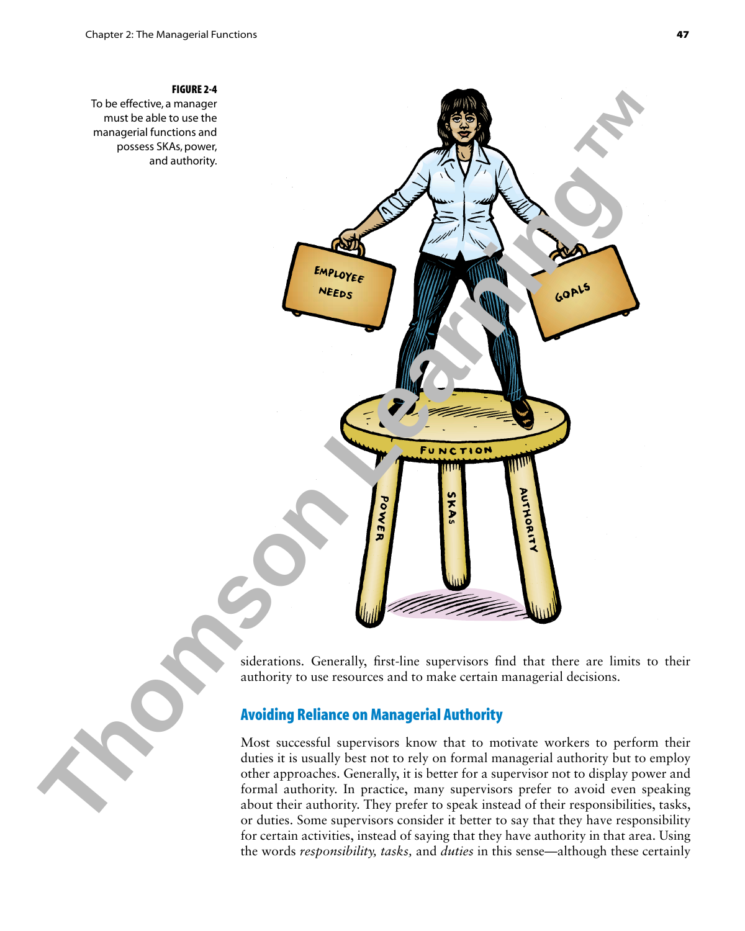To be effective, a manager must be able to use the managerial functions and possess SKAs, power,

**FIGURE 2-4**



siderations. Generally, first-line supervisors find that there are limits to their authority to use resources and to make certain managerial decisions.

# **Avoiding Reliance on Managerial Authority**

Most successful supervisors know that to motivate workers to perform their duties it is usually best not to rely on formal managerial authority but to employ other approaches. Generally, it is better for a supervisor not to display power and formal authority. In practice, many supervisors prefer to avoid even speaking about their authority. They prefer to speak instead of their responsibilities, tasks, or duties. Some supervisors consider it better to say that they have responsibility for certain activities, instead of saying that they have authority in that area. Using the words *responsibility, tasks,* and *duties* in this sense—although these certainly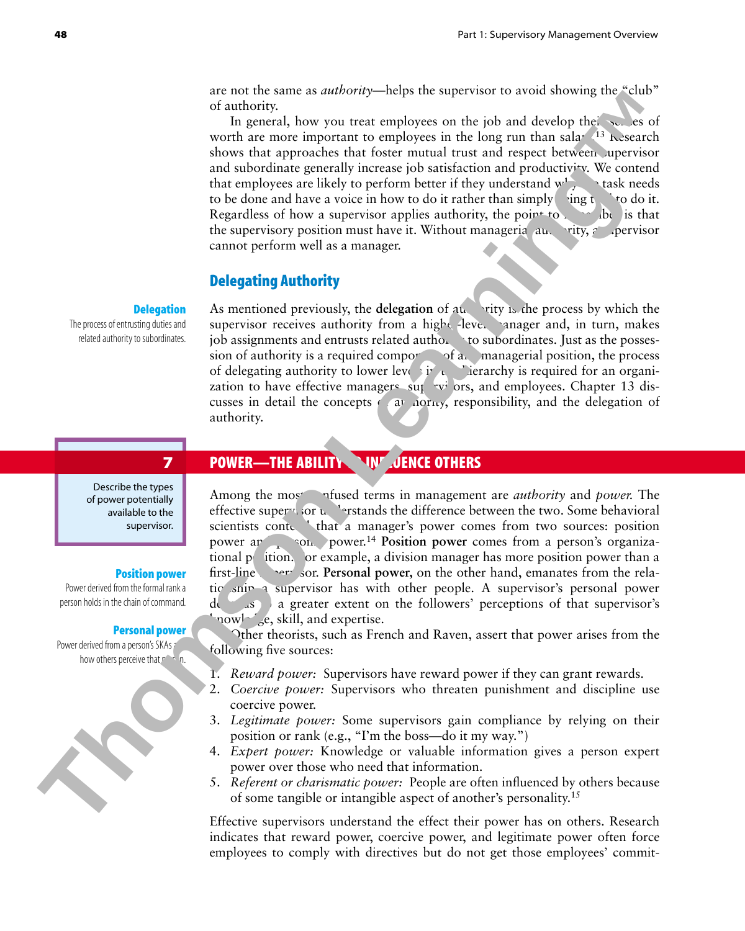are not the same as *authority*—helps the supervisor to avoid showing the Nub" of authority.

In general, how you treat employees on the job and develop their senses of worth are more important to employees in the long run than salary.<sup>13</sup> Research shows that approaches that foster mutual trust and respect between spervisor and subordinate generally increase job satisfaction and productivity. We contend that employees are likely to perform better if they understand  $\mathbf{v}$ , task needs to be done and have a voice in how to do it rather than simply  $\log t$  to do it. Regardless of how a supervisor applies authority, the point to remember is that the supervisory position must have it. Without managerial authority, a supervisor cannot perform well as a manager. how the two fits that is courted to the joint of the specified to the specified to the specified to the specified to the specified to the specified to the specified to the specified to the specified to the specified to t

# **Delegating Authority**

#### **Delegation**

The process of entrusting duties and related authority to subordinates.

> Describe the types of power potentially available to the supervisor.

Power derived from the formal rank a person holds in the chain of command.

Power derived from a person's SKAs

**Position power**

**Personal power**

**7**

As mentioned previously, the **delegation** of authority is the process by which the supervisor receives authority from a high -level manager and, in turn, makes job assignments and entrusts related authority to subordinates. Just as the possession of authority is a required component of a. managerial position, the process of delegating authority to lower levels in the hierarchy is required for an organization to have effective managers, supervisors, and employees. Chapter 13 discusses in detail the concepts of authority, responsibility, and the delegation of authority.

# **POWER—THE ABILITY TO INFLUENCE OTHERS**

Among the mos<sup>tax</sup> proposed terms in management are *authority* and *power*. The effective supervisor understands the difference between the two. Some behavioral scientists contend that a manager's power comes from two sources: position power and power.<sup>14</sup> Position power comes from a person's organizational  $p$  ition. For example, a division manager has more position power than a first-line sor. Personal power, on the other hand, emanates from the relatic snip a supervisor has with other people. A supervisor's personal power depends to a greater extent on the followers' perceptions of that supervisor's now<sup>1</sup>  $\epsilon$ , skill, and expertise.

Other theorists, such as French and Raven, assert that power arises from the following five sources:

- 1. *Reward power:* Supervisors have reward power if they can grant rewards.
- 2. *Coercive power:* Supervisors who threaten punishment and discipline use coercive power.
- 3. *Legitimate power:* Some supervisors gain compliance by relying on their position or rank (e.g., "I'm the boss—do it my way.")
- 4. *Expert power:* Knowledge or valuable information gives a person expert power over those who need that information.
- 5. *Referent or charismatic power:* People are often influenced by others because of some tangible or intangible aspect of another's personality.15

Effective supervisors understand the effect their power has on others. Research indicates that reward power, coercive power, and legitimate power often force employees to comply with directives but do not get those employees' commit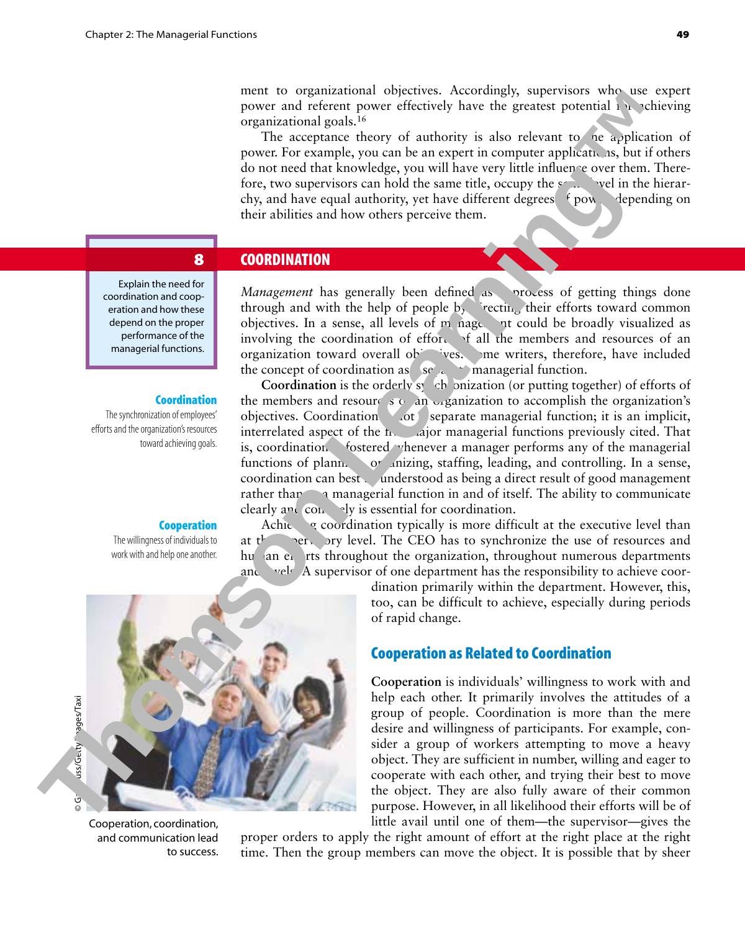ment to organizational objectives. Accordingly, supervisors who use expert power and referent power effectively have the greatest potential for a hieving organizational goals.16

The acceptance theory of authority is also relevant to the application of power. For example, you can be an expert in computer applications, but if others do not need that knowledge, you will have very little influence over them. Therefore, two supervisors can hold the same title, occupy the same level in the hierarchy, and have equal authority, yet have different degrees fivoled repending on their abilities and how others perceive them.

## **COORDINATION**

Explain the need for coordination and cooperation and how these depend on the proper performance of the managerial functions.

#### **Coordination**

**8**

The synchronization of employees' efforts and the organization's resources toward achieving goals.

#### **Cooperation**

The willingness of individuals to

*Management* has generally been defined as process of getting things done through and with the help of people  $b<sub>y</sub>$  directing their efforts toward common objectives. In a sense, all levels of  $n$  hage, net could be broadly visualized as involving the coordination of effort of all the members and resources of an organization toward overall objectives. Some writers, therefore, have included the concept of coordination as  $\int_{\mathbb{R}} \mathbb{R}^n$  is managerial function.

**Coordination** is the orderly synchronization (or putting together) of efforts of the members and resources of an organization to accomplish the organization's objectives. Coordination of separate managerial function; it is an implicit, interrelated aspect of the  $\ln$  ajor managerial functions previously cited. That is, coordination <sup>f</sup>ostered whenever a manager performs any of the managerial functions of planning organizing, staffing, leading, and controlling. In a sense, coordination can best  $\Box$  understood as being a direct result of good management rather than  $\alpha$  managerial function in and of itself. The ability to communicate clearly  $a_n$  concisely is essential for coordination.

Achievery coordination typically is more difficult at the executive level than at  $t^1$  bervisory level. The CEO has to synchronize the use of resources and hu an ei rts throughout the organization, throughout numerous departments and  $\mathbb{Z}^{\text{rel}}$ . A supervisor of one department has the responsibility to achieve coor-



Cooperation, coordination, and communication lead to success.

dination primarily within the department. However, this, too, can be difficult to achieve, especially during periods of rapid change.

# **Cooperation as Related to Coordination**

**Cooperation** is individuals' willingness to work with and help each other. It primarily involves the attitudes of a group of people. Coordination is more than the mere desire and willingness of participants. For example, consider a group of workers attempting to move a heavy object. They are sufficient in number, willing and eager to cooperate with each other, and trying their best to move the object. They are also fully aware of their common purpose. However, in all likelihood their efforts will be of little avail until one of them—the supervisor—gives the

proper orders to apply the right amount of effort at the right place at the right time. Then the group members can move the object. It is possible that by sheer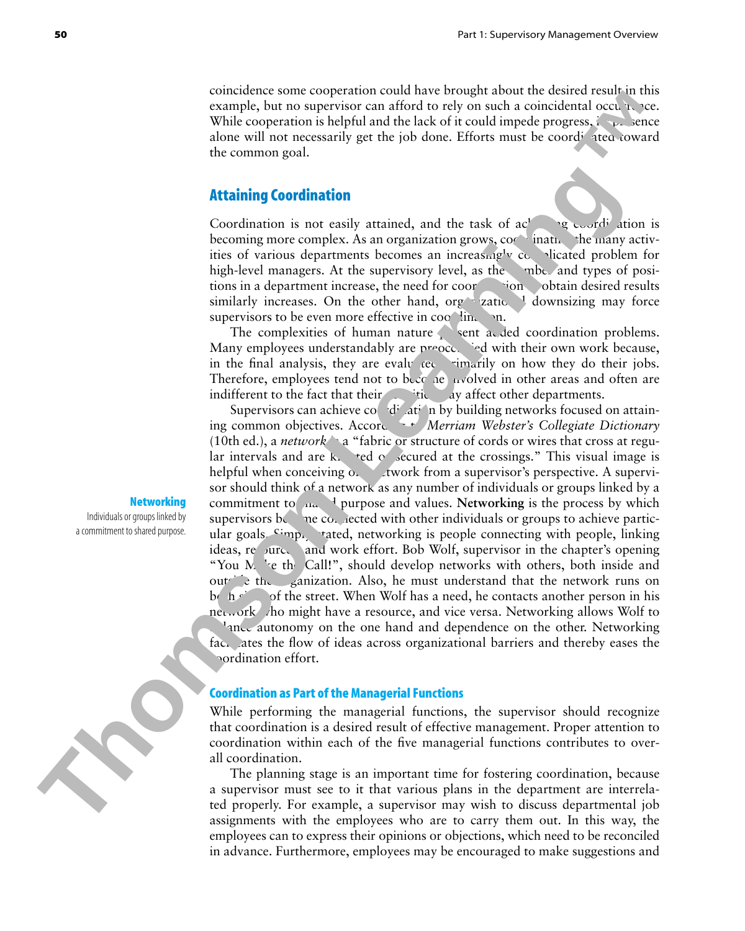coincidence some cooperation could have brought about the desired result in this example, but no supervisor can afford to rely on such a coincidental occurrence. While cooperation is helpful and the lack of it could impede progress, its presence alone will not necessarily get the job done. Efforts must be coordinated toward the common goal.

# **Attaining Coordination**

Coordination is not easily attained, and the task of  $ac^{\prime}$  are coordination is becoming more complex. As an organization grows,  $\cot^2$  inath the many activities of various departments becomes an increasingly  $c_0$  plicated problem for high-level managers. At the supervisory level, as the number and types of positions in a department increase, the need for coordination to obtain desired results similarly increases. On the other hand,  $\text{org} \cdot \text{zatic}$  downsizing may force supervisors to be even more effective in coordination.

The complexities of human nature sent a ded coordination problems. Many employees understandably are preoccupied with their own work because, in the final analysis, they are evaly equilibrium control primarily on how they do their jobs. Therefore, employees tend not to become involved in other areas and often are indifferent to the fact that their  $\cdot$  in  $\cdot$  ay affect other departments.

Supervisors can achieve coordination by building networks focused on attaining common objectives. According to *Merriam Webster's Collegiate Dictionary* (10th ed.), a *network* a "fabric or structure of cords or wires that cross at regular intervals and are  $k<sub>n</sub>$  bed  $\circ$  secured at the crossings." This visual image is helpful when conceiving  $\alpha$  a twork from a supervisor's perspective. A supervisor should think of a network as any number of individuals or groups linked by a commitment to  $\mu$ <sub>na</sub>  $\overline{A}$  purpose and values. **Networking** is the process by which supervisors  $\mathbf{b}$  are connected with other individuals or groups to achieve particular goals. Simply tated, networking is people connecting with people, linking ideas, resources, and work effort. Bob Wolf, supervisor in the chapter's opening "You M<sub>a</sub> 're the Call!", should develop networks with others, both inside and outside the  $\epsilon$  -ganization. Also, he must understand that the network runs on  $\mathbf{b}$   $\mathbf{h}$  is denoted by the street. When Wolf has a need, he contacts another person in his net work ho might have a resource, and vice versa. Networking allows Wolf to alance autonomy on the one hand and dependence on the other. Networking facilitates the flow of ideas across organizational barriers and thereby eases the pordination effort. coincidence one cooperation collation be broad at the described purpose.<br> **Started purpose** and the sympatric conditions of the sympatric conditions of the sympatric conditions of the sympatric conditions of the sympatric

## **Coordination as Part of the Managerial Functions**

While performing the managerial functions, the supervisor should recognize that coordination is a desired result of effective management. Proper attention to coordination within each of the five managerial functions contributes to overall coordination.

The planning stage is an important time for fostering coordination, because a supervisor must see to it that various plans in the department are interrelated properly. For example, a supervisor may wish to discuss departmental job assignments with the employees who are to carry them out. In this way, the employees can to express their opinions or objections, which need to be reconciled in advance. Furthermore, employees may be encouraged to make suggestions and

#### **Networking**

Individuals or groups linked by

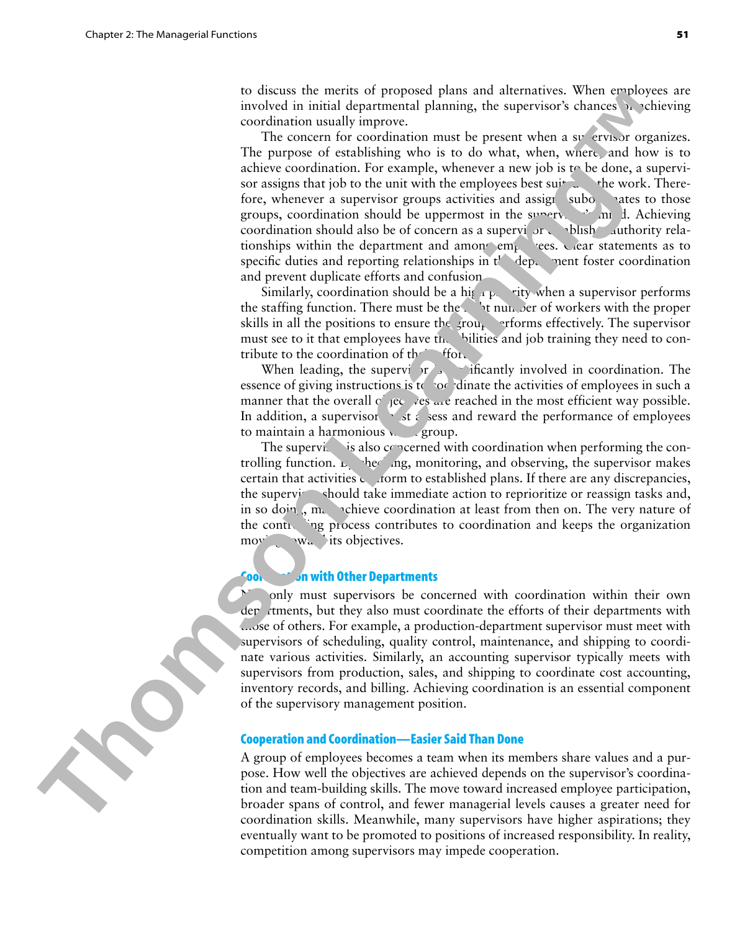to discuss the merits of proposed plans and alternatives. When er loyees are involved in initial departmental planning, the supervisor's chances  $\zeta$  a hieving coordination usually improve.

The concern for coordination must be present when a  $s^r$  ervisor organizes. The purpose of establishing who is to do what, when, where, and how is to achieve coordination. For example, whenever a new job is  $t \wedge$  be done, a supervisor assigns that job to the unit with the employees best suited to the work. Therefore, whenever a supervisor groups activities and assign subordinates to those groups, coordination should be uppermost in the supervisory mind. Achieving coordination should also be of concern as a supervi  $\sigma$ . blishes authority relationships within the department and among employees. Clear statements as to specific duties and reporting relationships in  $t'$  dep. ment foster coordination and prevent duplicate efforts and confusion. To discuss the mentre of proposed plane and discussions. When  $\sim$  by the mentre of the mentre of the mentre of the mentre of the mentre of the mentre of the mentre of the mentre of the mentre of the mentre of the mentre

Similarly, coordination should be a high priority when a supervisor performs the staffing function. There must be the right number of workers with the proper skills in all the positions to ensure the group performs effectively. The supervisor must see to it that employees have the bilities and job training they need to contribute to the coordination of the  $\epsilon_{\text{tot}}$ .

When leading, the supervisor is supposed in coordination. The essence of giving instructions is to coordinate the activities of employees in such a manner that the overall  $\epsilon$   $\alpha$   $\epsilon$   $\epsilon$  are reached in the most efficient way possible. In addition, a supervisor must assess and reward the performance of employees to maintain a harmonious supersequently

The supervisities also concerned with coordination when performing the controlling function.  $\mathbf{b}$  because, monitoring, and observing, the supervisor makes certain that activities  $\epsilon_0$  from to established plans. If there are any discrepancies, the supervices should take immediate action to reprioritize or reassign tasks and, in so doing, may achieve coordination at least from then on. The very nature of the controlling process contributes to coordination and keeps the organization  $mov$  ward its objectives.

## **Coordination with Other Departments**

only must supervisors be concerned with coordination within their own der tments, but they also must coordinate the efforts of their departments with those of others. For example, a production-department supervisor must meet with supervisors of scheduling, quality control, maintenance, and shipping to coordinate various activities. Similarly, an accounting supervisor typically meets with supervisors from production, sales, and shipping to coordinate cost accounting, inventory records, and billing. Achieving coordination is an essential component of the supervisory management position.

### **Cooperation and Coordination—Easier Said Than Done**

A group of employees becomes a team when its members share values and a purpose. How well the objectives are achieved depends on the supervisor's coordination and team-building skills. The move toward increased employee participation, broader spans of control, and fewer managerial levels causes a greater need for coordination skills. Meanwhile, many supervisors have higher aspirations; they eventually want to be promoted to positions of increased responsibility. In reality, competition among supervisors may impede cooperation.

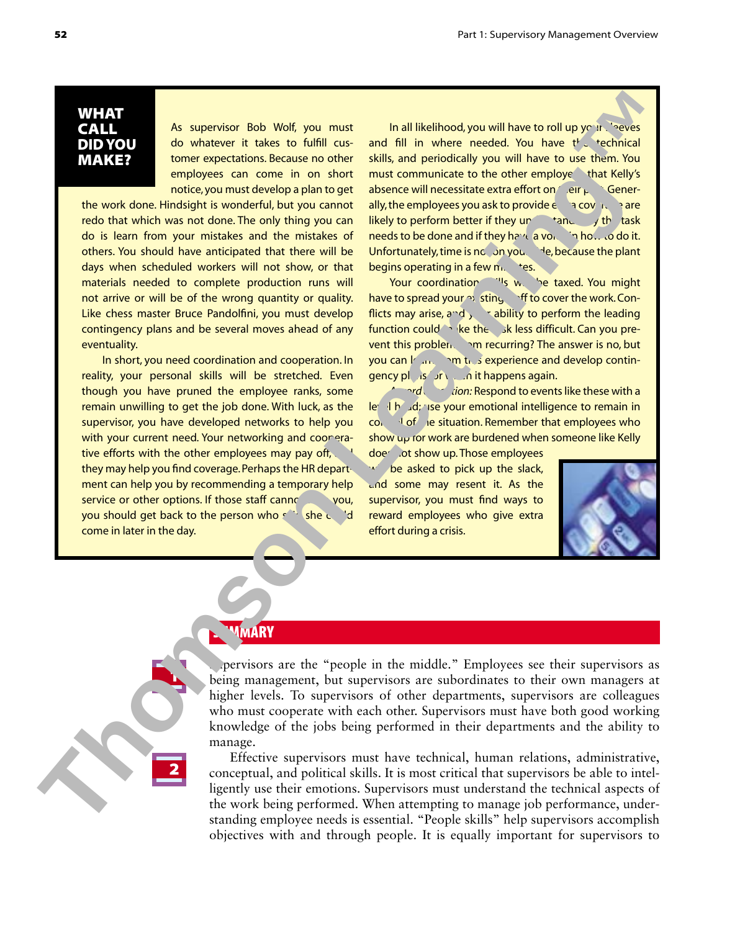# **WHAT CALL DID YOU MAKE?**

As supervisor Bob Wolf, you must do whatever it takes to fulfill customer expectations. Because no other employees can come in on short notice, you must develop a plan to get

the work done. Hindsight is wonderful, but you cannot redo that which was not done. The only thing you can do is learn from your mistakes and the mistakes of others. You should have anticipated that there will be days when scheduled workers will not show, or that materials needed to complete production runs will not arrive or will be of the wrong quantity or quality. Like chess master Bruce Pandolfini, you must develop contingency plans and be several moves ahead of any eventuality.

In short, you need coordination and cooperation. In reality, your personal skills will be stretched. Even though you have pruned the employee ranks, some remain unwilling to get the job done. With luck, as the supervisor, you have developed networks to help you with your current need. Your networking and cooperative efforts with the other employees may pay off,  $\zeta$ they may help you find coverage. Perhaps the HR department can help you by recommending a temporary help service or other options. If those staff cannously you, you should get back to the person who said she could come in later in the day. **CALL MATERITMS AS supervote the by the state is the likelihood you will have to reliable the content in the state is the state of the content in the content in the content in the state of the state of the state is a state** 

In all likelihood, you will have to roll up  $y^2$  at surface and fill in where needed. You have  $t' \in \text{`echnical}$ skills, and periodically you will have to use them. You must communicate to the other employe<sup>that Kelly's</sup> absence will necessitate extra effort on  $\epsilon$  air  $\mu$  Generally, the employees you ask to provide  $e \rightarrow c$  coverage are likely to perform better if they understand why the task needs to be done and if they have a voice in homodoit. Unfortunately, time is not on you side, because the plant begins operating in a few  $n<sub>1</sub>$  tes.

Your coordination sills will be taxed. You might have to spread your existing staff to cover the work. Conflicts may arise,  $\partial^{\alpha}$  y  $\alpha$  ability to perform the leading function could  $\sim$  the the sk less difficult. Can you prevent this problem from recurring? The answer is no, but you can  $\ell$  and  $\infty$  in this experience and develop contingency plans for  $\mathbf{v}$  and it happens again.

**A** *word* of *caution:* Respond to events like these with a  $\mathbf{e}^{\prime}$  ( $\mathbf{h}^{\prime}$  d; use your emotional intelligence to remain in  $\overline{\text{co}}$  to the situation. Remember that employees who show up for work are burdened when someone like Kelly

doe at show up. Those employees be asked to pick up the slack,

and some may resent it. As the supervisor, you must find ways to reward employees who give extra effort during a crisis.



# **MMARY**

**1**

**2**

pervisors are the "people in the middle." Employees see their supervisors as being management, but supervisors are subordinates to their own managers at higher levels. To supervisors of other departments, supervisors are colleagues who must cooperate with each other. Supervisors must have both good working knowledge of the jobs being performed in their departments and the ability to manage.

Effective supervisors must have technical, human relations, administrative, conceptual, and political skills. It is most critical that supervisors be able to intelligently use their emotions. Supervisors must understand the technical aspects of the work being performed. When attempting to manage job performance, understanding employee needs is essential. "People skills" help supervisors accomplish objectives with and through people. It is equally important for supervisors to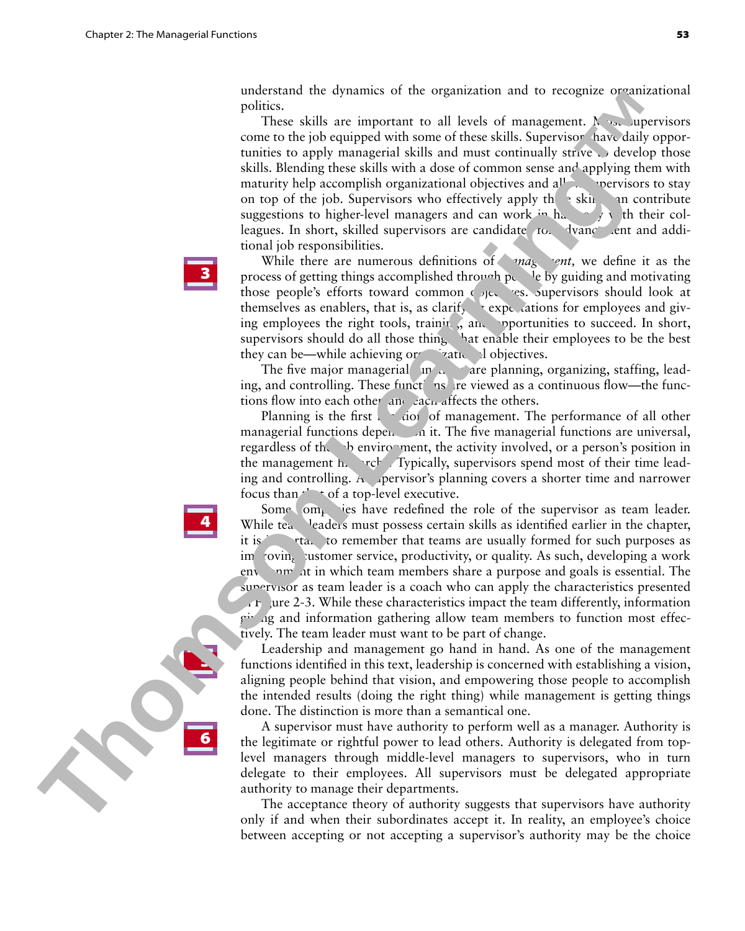understand the dynamics of the organization and to recognize  $\alpha$ , nizational politics.

These skills are important to all levels of management.  $\lambda_{\perp}$  at supervisors come to the job equipped with some of these skills. Supervisors have caily opportunities to apply managerial skills and must continually strive  $\iota$  develop those skills. Blending these skills with a dose of common sense and applying them with maturity help accomplish organizational objectives and  $a^{\mu}$   $\ldots$  pervisors to stay on top of the job. Supervisors who effectively apply the skill on contribute suggestions to higher-level managers and can work in harmony with their colleagues. In short, skilled supervisors are candidate ro. dvancement and additional job responsibilities. inferential the dynamics of the organization and to recognize of the<br>station. These skills are important to all develops of managements of<br>the physical are important to all develops of the physical are interesting<br>to the

While there are numerous definitions of  $ma_k$  *ent*, we define it as the process of getting things accomplished through people by guiding and motivating those people's efforts toward common objectives. Supervisors should look at themselves as enablers, that is, as clarify  $\cdot$  expectations for employees and giving employees the right tools, training, and opportunities to succeed. In short, supervisors should do all those thing hat enable their employees to be the best they can be—while achieving organizational objectives.

The five major managerial functions are planning, organizing, staffing, leading, and controlling. These functions are viewed as a continuous flow—the functions flow into each other, and each affects the others.

Planning is the first  $\frac{1}{2}$  and of management. The performance of all other managerial functions depends on it. The five managerial functions are universal, regardless of the b environment, the activity involved, or a person's position in the management hierarchy. Typically, supervisors spend most of their time leading and controlling. A apervisor's planning covers a shorter time and narrower focus than  $\uparrow$   $\uparrow$  of a top-level executive.

Some  $\omega_{\text{cm}}$  ies have redefined the role of the supervisor as team leader. While tea. <sup>1</sup>eaders must possess certain skills as identified earlier in the chapter, it is in the teams are usually formed for such purposes as im roving customer service, productivity, or quality. As such, developing a work  $env$  at in which team members share a purpose and goals is essential. The supervisor as team leader is a coach who can apply the characteristics presented

 $\Delta$  f ure 2-3. While these characteristics impact the team differently, information ag and information gathering allow team members to function most effectively. The team leader must want to be part of change.

Leadership and management go hand in hand. As one of the management functions identified in this text, leadership is concerned with establishing a vision, aligning people behind that vision, and empowering those people to accomplish the intended results (doing the right thing) while management is getting things done. The distinction is more than a semantical one.

A supervisor must have authority to perform well as a manager. Authority is the legitimate or rightful power to lead others. Authority is delegated from toplevel managers through middle-level managers to supervisors, who in turn delegate to their employees. All supervisors must be delegated appropriate authority to manage their departments.

The acceptance theory of authority suggests that supervisors have authority only if and when their subordinates accept it. In reality, an employee's choice between accepting or not accepting a supervisor's authority may be the choice



**4**

**5**

**6**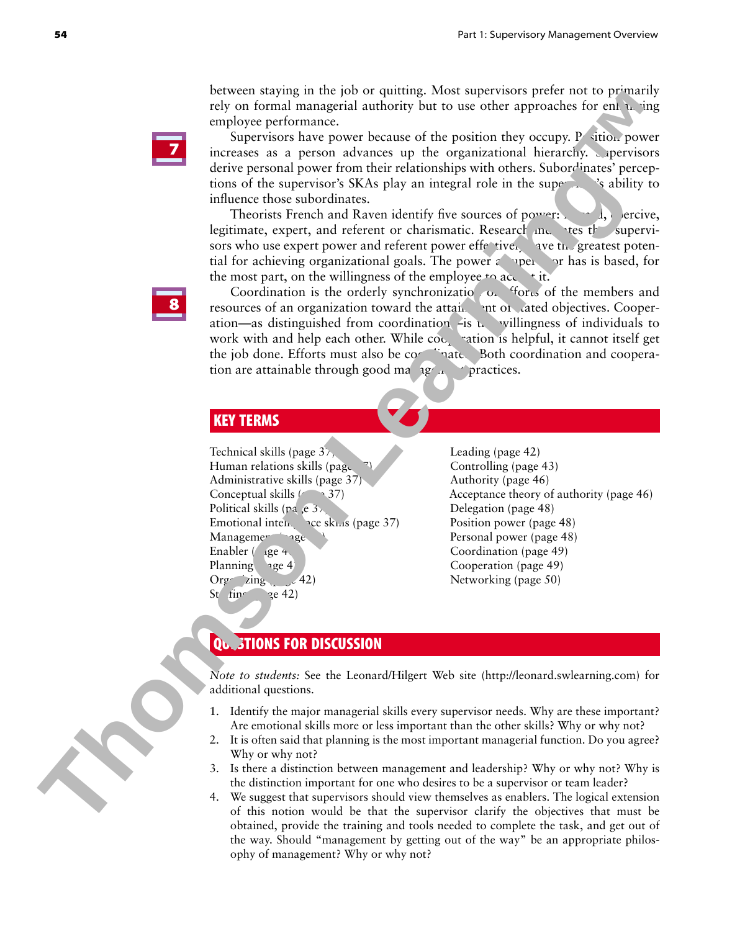between staying in the job or quitting. Most supervisors prefer not to primarily rely on formal managerial authority but to use other approaches for enhance g employee performance.

Supervisors have power because of the position they occupy. Position power increases as a person advances up the organizational hierarchy. Supervisors derive personal power from their relationships with others. Subordinates' perceptions of the supervisor's SKAs play an integral role in the supervisor's ability to influence those subordinates.

Theorists French and Raven identify five sources of power:  $\Box$ , ercive, legitimate, expert, and referent or charismatic. Research indicates that supervisors who use expert power and referent power effectively have the greatest potential for achieving organizational goals. The power  $\epsilon$  supervisor has is based, for the most part, on the willingness of the employee to acceptative

Coordination is the orderly synchronization of the members and resources of an organization toward the attain the stated objectives. Cooperation—as distinguished from coordination—is  $t_k$  willingness of individuals to work with and help each other. While cooperation is helpful, it cannot itself get the job done. Efforts must also be contracted. Both coordination and cooperation are attainable through good management practices. between starting in the policy controlled from the policy supercolled from the policy policy controlled in the same of the supervisor because of the supervisor between some between the supervisor of the supervisor have po

# **KEY TERMS**

Technical skills (page 37) Leading (page 42) Human relations skills (page 37) Controlling (page 43) Administrative skills (page 37) Authority (page 46) Political skills (page 37) Delegation (page 48) Emotional intelligence skills (page 37) Position power (page 48) Management (1992) Personal power (page 48) Enabler (e.ge 4) Coordination (page 49) Planning (age 4) Cooperation (page 49) Org<sub>anizing</sub>  $(42)$  Networking (page 50) St  $\sin$   $\pi$  (e 42)

Conceptual skills  $(9.37)$  Acceptance theory of authority (page 46)

# **QUESTIONS FOR DISCUSSION**

*Note to students:* See the Leonard/Hilgert Web site (http://leonard.swlearning.com) for additional questions.

- 1. Identify the major managerial skills every supervisor needs. Why are these important? Are emotional skills more or less important than the other skills? Why or why not?
- 2. It is often said that planning is the most important managerial function. Do you agree? Why or why not?
- 3. Is there a distinction between management and leadership? Why or why not? Why is the distinction important for one who desires to be a supervisor or team leader?
- 4. We suggest that supervisors should view themselves as enablers. The logical extension of this notion would be that the supervisor clarify the objectives that must be obtained, provide the training and tools needed to complete the task, and get out of the way. Should "management by getting out of the way" be an appropriate philosophy of management? Why or why not?



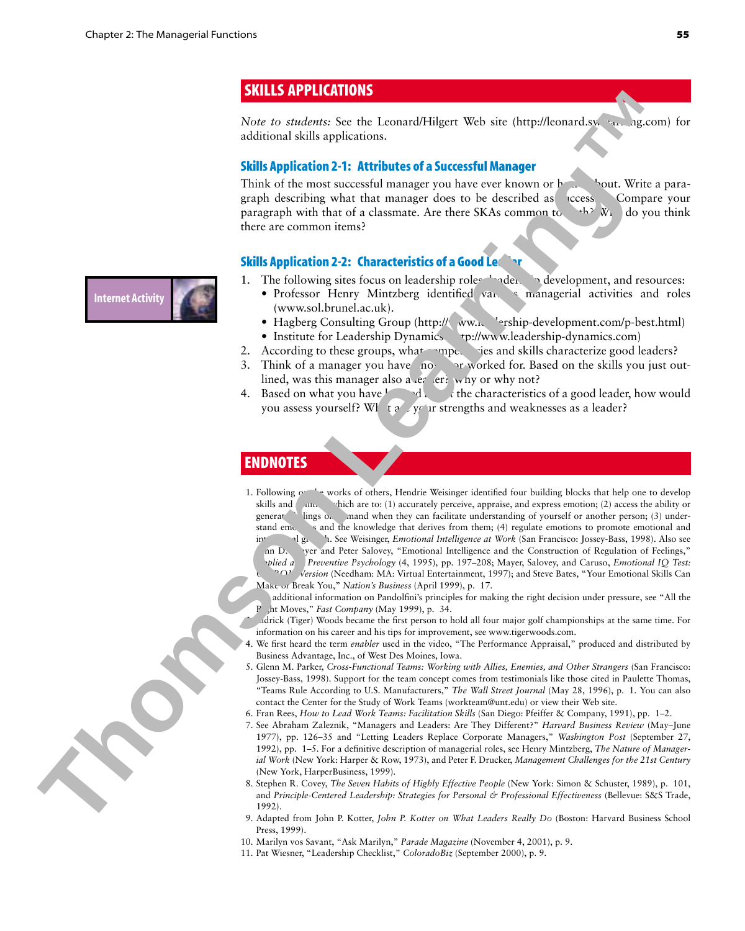# **SKILLS APPLICATIONS**

*Note to students:* See the Leonard/Hilgert Web site (http://leonard.svl. ru., .com) for additional skills applications.

## **Skills Application 2-1: Attributes of a Successful Manager**

Think of the most successful manager you have ever known or heard about. Write a paragraph describing what that manager does to be described as success Compare your paragraph with that of a classmate. Are there SKAs common to  $\rightarrow$ <sup>1.</sup> W<sub>hy</sub> do you think there are common items?

## **Skills Application 2-2: Characteristics of a Good Lead**

- 1. The following sites focus on leadership roles<sup>-1</sup> and resources: development, and resources:
	- Professor Henry Mintzberg identified various managerial activities and roles (www.sol.brunel.ac.uk).
	- Hagberg Consulting Group (http:// www. leastlip-development.com/p-best.html)
	- Institute for Leadership Dynamics (http://www.leadership-dynamics.com)
- 2. According to these groups, what  $\Box$  ripsector and skills characterize good leaders?
- 3. Think of a manager you have now to worked for. Based on the skills you just outlined, was this manager also a  $\text{Re}$  er? why or why not?
- 4. Based on what you have  $\mathcal{A}_k$  the characteristics of a good leader, how would you assess yourself? White are your strengths and weaknesses as a leader?

## **ENDNOTES**

- 1. Following on the works of others, Hendrie Weisinger identified four building blocks that help one to develop skills and  $\alpha$  and  $\alpha$  which are to: (1) accurately perceive, appraise, and express emotion; (2) access the ability or generate fings on demand when they can facilitate understanding of yourself or another person; (3) understand emotions and the knowledge that derives from them; (4) regulate emotions to promote emotional and
	- intelligence at Work (San Francisco: Jossey-Bass, 1998). Also see In D. yer and Peter Salovey, "Emotional Intelligence and the Construction of Regulation of Feelings," *Applied and Preventive Psychology* (4, 1995), pp. 197–208; Mayer, Salovey, and Caruso, *Emotional IQ Test:*
	- *CD-ROM Version* (Needham: MA: Virtual Entertainment, 1997); and Steve Bates, "Your Emotional Skills Can Make or Break You," *Nation's Business* (April 1999), p. 17.
- additional information on Pandolfini's principles for making the right decision under pressure, see "All the Right Moves," *Fast Company* (May 1999), p. 34.
- drick (Tiger) Woods became the first person to hold all four major golf championships at the same time. For information on his career and his tips for improvement, see www.tigerwoods.com.
- 4. We first heard the term *enabler* used in the video, "The Performance Appraisal," produced and distributed by Business Advantage, Inc., of West Des Moines, Iowa.
- 5. Glenn M. Parker, *Cross-Functional Teams: Working with Allies, Enemies, and Other Strangers* (San Francisco: Jossey-Bass, 1998). Support for the team concept comes from testimonials like those cited in Paulette Thomas, "Teams Rule According to U.S. Manufacturers," *The Wall Street Journal* (May 28, 1996), p. 1. You can also contact the Center for the Study of Work Teams (workteam@unt.edu) or view their Web site.
- 6. Fran Rees, *How to Lead Work Teams: Facilitation Skills* (San Diego: Pfeiffer & Company, 1991), pp. 1–2.
- 7. See Abraham Zaleznik, "Managers and Leaders: Are They Different?" *Harvard Business Review* (May–June 1977), pp. 126–35 and "Letting Leaders Replace Corporate Managers," *Washington Post* (September 27, 1992), pp. 1–5. For a definitive description of managerial roles, see Henry Mintzberg, *The Nature of Managerial Work* (New York: Harper & Row, 1973), and Peter F. Drucker, *Management Challenges for the 21st Century* (New York, HarperBusiness, 1999). **INTERTAINTY ACTIONS**<br>
Note to such and the state internet Activity Research Manager and the state of the state of the state of the state of the state of the state of the state of the state of the state of the state of th
	- 8. Stephen R. Covey, *The Seven Habits of Highly Effective People* (New York: Simon & Schuster, 1989), p. 101, and *Principle-Centered Leadership: Strategies for Personal & Professional Effectiveness* (Bellevue: S&S Trade, 1992).
	- 9. Adapted from John P. Kotter, *John P. Kotter on What Leaders Really Do* (Boston: Harvard Business School Press, 1999).
	- 10. Marilyn vos Savant, "Ask Marilyn," *Parade Magazine* (November 4, 2001), p. 9.
	- 11. Pat Wiesner, "Leadership Checklist," *ColoradoBiz* (September 2000), p. 9.

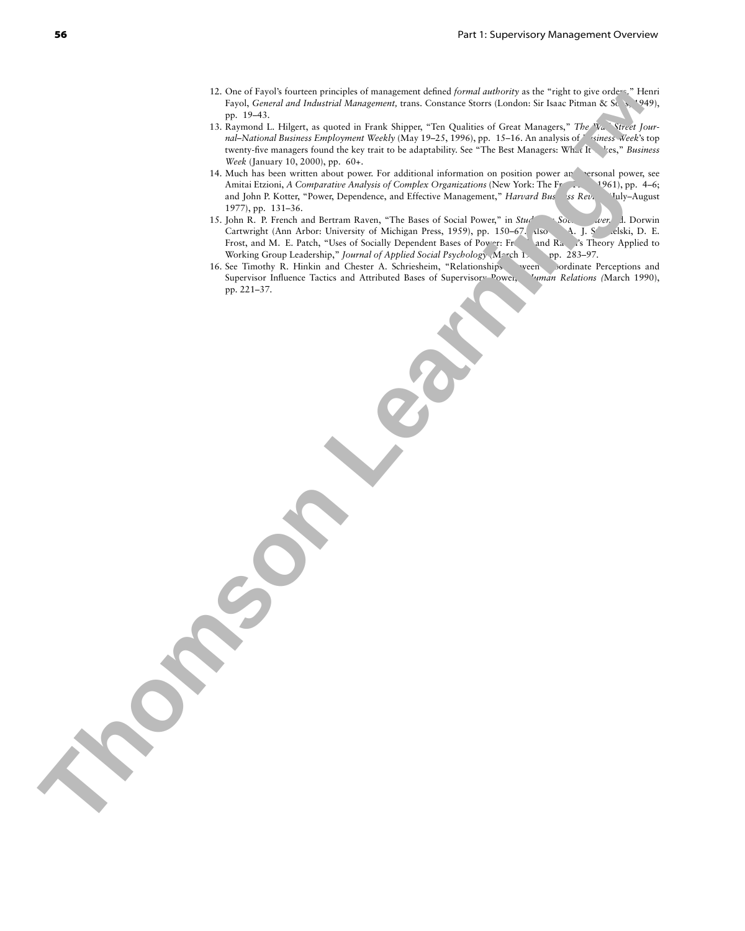- 12. One of Fayol's fourteen principles of management defined *formal authority* as the "right to give orders." Henri Fayol, *General and Industrial Management*, trans. Constance Storrs (London: Sir Isaac Pitman & Son, 1, <sup>19</sup>), pp. 19–43.
- 13. Raymond L. Hilgert, as quoted in Frank Shipper, "Ten Qualities of Great Managers," *The Wall Street Journal–National Business Employment Weekly* (May 19–25, 1996), pp. 15–16. An analysis of *Business Week*'s top twenty-five managers found the key trait to be adaptability. See "The Best Managers: What It Takes," *Business Week* (January 10, 2000), pp. 60+.
- 14. Much has been written about power. For additional information on position power and prover, see Amitai Etzioni, *A Comparative Analysis of Complex Organizations* (New York: The Free Press, 1961), pp. 4–6; and John P. Kotter, "Power, Dependence, and Effective Management," *Harvard Bus* ss Rev. Vuly-August 1977), pp. 131–36. The set of the set of the set of the set of the set of the set of the set of the set of the set of the set of the set of the set of the set of the set of the set of the set of the set of the set of the set of the set of t
	- 15. John R. P. French and Bertram Raven, "The Bases of Social Power," in *Studies Social Power, also der* al. Dorwin Cartwright (Ann Arbor: University of Michigan Press, 1959), pp. 150–67. Also A. J. C. diski, D. E. Cartwright (Ann Arbor: University of Michigan Press, 1959), pp. 150-67. Also Frost, and M. E. Patch, "Uses of Socially Dependent Bases of Poyer: Free and Raven's Theory Applied to Working Group Leadership," *Journal of Applied Social Psychology* (March 1989), pp. 283–97.
	- 16. See Timothy R. Hinkin and Chester A. Schriesheim, "Relationships veen Sordinate Perceptions and Supervisor Influence Tactics and Attributed Bases of Supervisory Power, *Iman Relations (March 1990)*, pp. 221–37.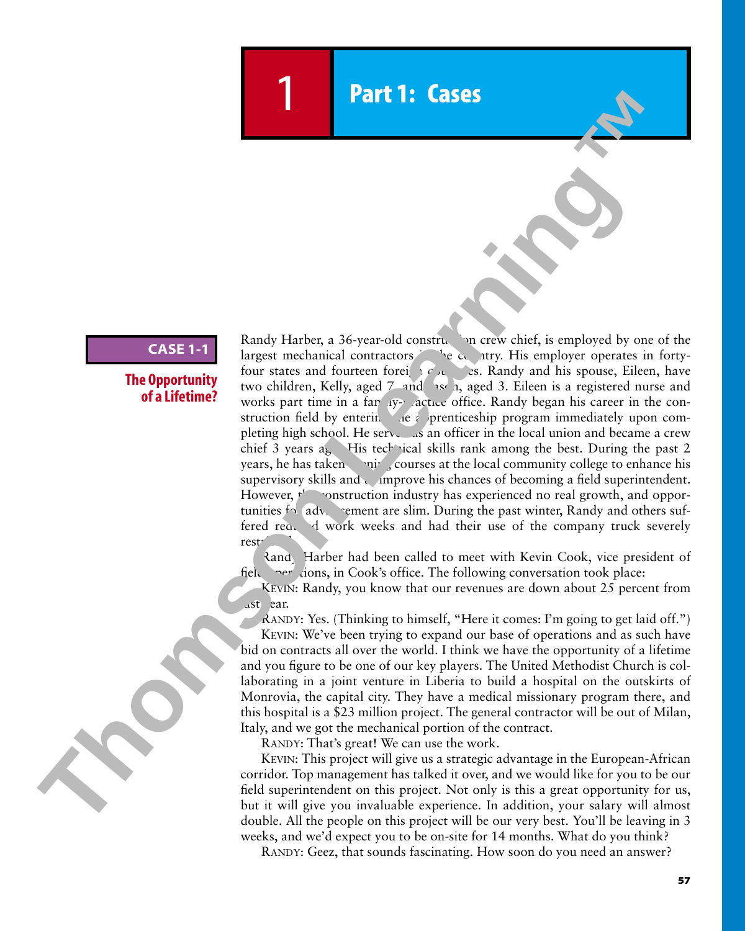# **Part 1: Cases**

# **CASE 1-**

# **The Opportunity**

Randy Harber, a 36-year-old construction crew chief, is employed by one of the largest mechanical contractors in the country. His employer operates in fortyfour states and fourteen forein countries. Randy and his spouse, Eileen, have two children, Kelly, aged 7 and Jase 1, aged 3. Eileen is a registered nurse and works part time in a family-practice office. Randy began his career in the construction field by entering the apprenticeship program immediately upon completing high school. He served as an officer in the local union and became a crew chief 3 years age. His technical skills rank among the best. During the past 2 years, he has taken in the courses at the local community college to enhance his supervisory skills and  $\epsilon$  improve his chances of becoming a field superintendent. However, the construction industry has experienced no real growth, and opportunities  $f<sub>2</sub>$  (advancement are slim. During the past winter, Randy and others suffered reduced work weeks and had their use of the company truck severely rest **CASE 1.1 CASES**<br> **CASE 1.1 Randy Harber, a 36-year-old constitue and the metric is employed by one interpolation of a Lifetime of a Lifetime in the system of a Lifetime interpolation of a Lifetime interpolation of a L** 

Randy Harber had been called to meet with Kevin Cook, vice president of field  $ne'$  dons, in Cook's office. The following conversation took place:

KEVIN: Randy, you know that our revenues are down about 25 percent from last year.

RANDY: Yes. (Thinking to himself, "Here it comes: I'm going to get laid off.") KEVIN: We've been trying to expand our base of operations and as such have bid on contracts all over the world. I think we have the opportunity of a lifetime and you figure to be one of our key players. The United Methodist Church is collaborating in a joint venture in Liberia to build a hospital on the outskirts of Monrovia, the capital city. They have a medical missionary program there, and this hospital is a \$23 million project. The general contractor will be out of Milan, Italy, and we got the mechanical portion of the contract.

RANDY: That's great! We can use the work.

KEVIN: This project will give us a strategic advantage in the European-African corridor. Top management has talked it over, and we would like for you to be our field superintendent on this project. Not only is this a great opportunity for us, but it will give you invaluable experience. In addition, your salary will almost double. All the people on this project will be our very best. You'll be leaving in 3 weeks, and we'd expect you to be on-site for 14 months. What do you think?

RANDY: Geez, that sounds fascinating. How soon do you need an answer?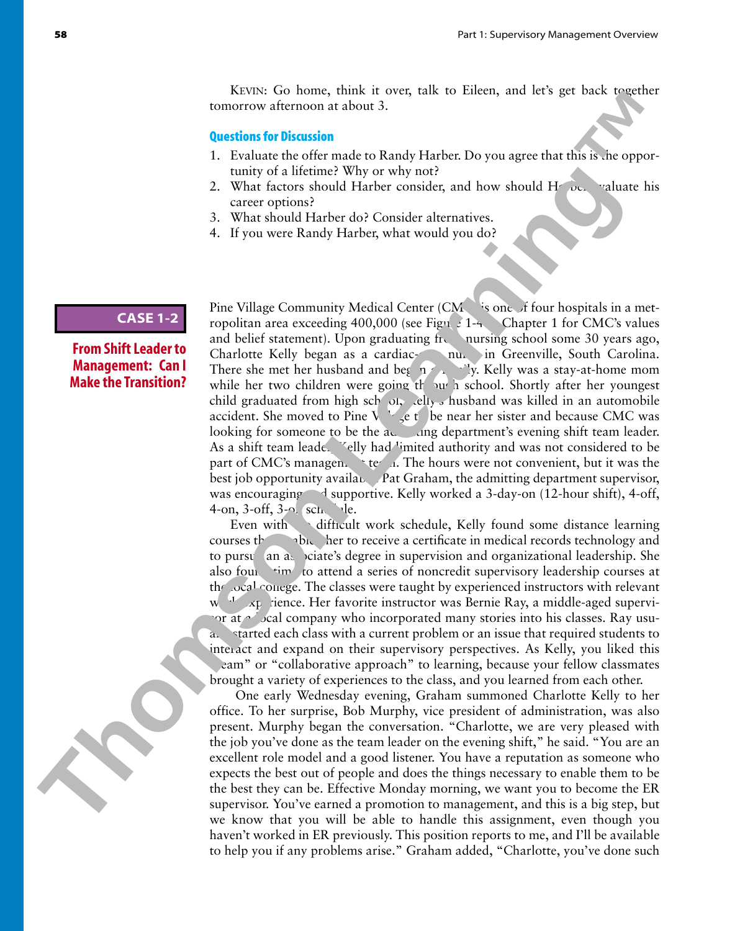KEVIN: Go home, think it over, talk to Eileen, and let's get back  $t$  , ther tomorrow afternoon at about 3.

## **Questions for Discussion**

- 1. Evaluate the offer made to Randy Harber. Do you agree that this is  $\mathcal{L}$  e opportunity of a lifetime? Why or why not?
- 2. What factors should Harber consider, and how should  $H_{\text{out}}$  valuate his career options?
- 3. What should Harber do? Consider alternatives.
- 4. If you were Randy Harber, what would you do?

# **CASE 1-2**

**From Shift Leader to Management: Can I**

Pine Village Community Medical Center  $(CM^{\dagger})$  is one of four hospitals in a metropolitan area exceeding 400,000 (see Figure 1-4 in Chapter 1 for CMC's values and belief statement). Upon graduating from nursing school some 30 years ago, Charlotte Kelly began as a cardiac-nurse in Greenville, South Carolina. There she met her husband and beg  $\mathbf{n}$  a family. Kelly was a stay-at-home mom while her two children were going the sure is school. Shortly after her youngest child graduated from high school, elly's husband was killed in an automobile accident. She moved to Pine V<sub>llage</sub> to be near her sister and because CMC was looking for someone to be the admitting department's evening shift team leader. As a shift team leader, Kelly had limited authority and was not considered to be part of CMC's management team. The hours were not convenient, but it was the best job opportunity availab. Pat Graham, the admitting department supervisor, was encouraging and supportive. Kelly worked a 3-day-on (12-hour shift), 4-off,  $4$ -on,  $3$ -off,  $3-\gamma$  schedule. **Make the Elements Colombin Enter the Construction**<br> **Make the Transition**  $\mathbf{R}$  and  $\mathbf{R}$  and  $\mathbf{R}$  are the model of the model of the model of the model of the model of the model of the model of the model of the

Even with difficult work schedule, Kelly found some distance learning courses  $t^{\dagger}$  then to receive a certificate in medical records technology and to pursue an associate's degree in supervision and organizational leadership. She also found time to attend a series of noncredit supervisory leadership courses at the local college. The classes were taught by experienced instructors with relevant  $w \rightarrow xp$  ience. Her favorite instructor was Bernie Ray, a middle-aged supervi- $\alpha$  at  $\alpha$  scal company who incorporated many stories into his classes. Ray usua. started each class with a current problem or an issue that required students to interact and expand on their supervisory perspectives. As Kelly, you liked this eam" or "collaborative approach" to learning, because your fellow classmates brought a variety of experiences to the class, and you learned from each other.

One early Wednesday evening, Graham summoned Charlotte Kelly to her office. To her surprise, Bob Murphy, vice president of administration, was also present. Murphy began the conversation. "Charlotte, we are very pleased with the job you've done as the team leader on the evening shift," he said. "You are an excellent role model and a good listener. You have a reputation as someone who expects the best out of people and does the things necessary to enable them to be the best they can be. Effective Monday morning, we want you to become the ER supervisor. You've earned a promotion to management, and this is a big step, but we know that you will be able to handle this assignment, even though you haven't worked in ER previously. This position reports to me, and I'll be available to help you if any problems arise." Graham added, "Charlotte, you've done such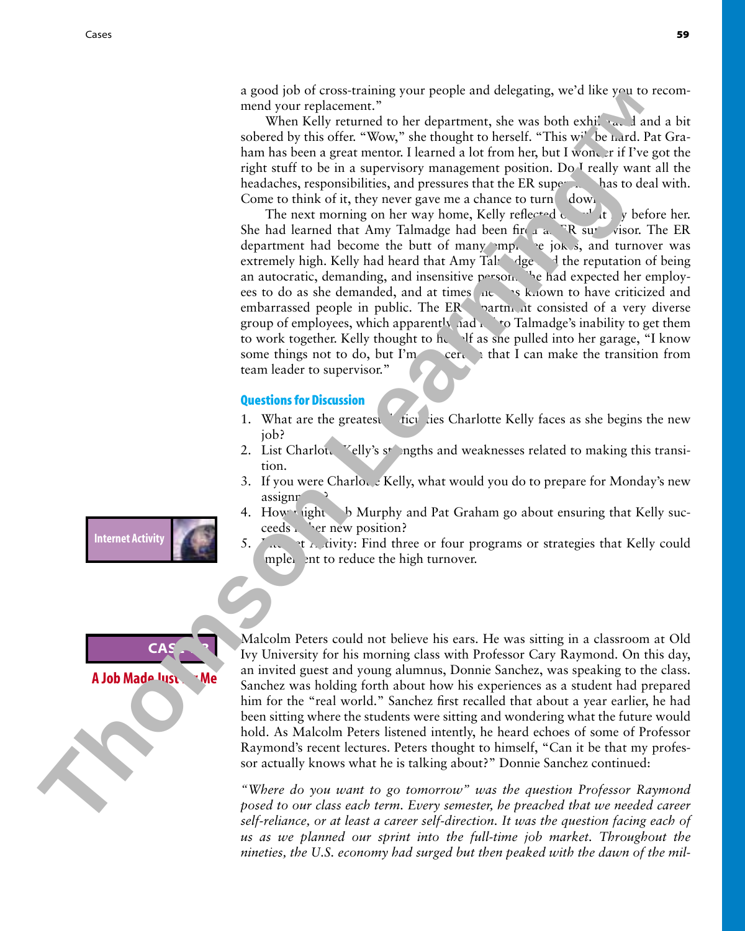a good job of cross-training your people and delegating, we'd like  $y \rightarrow$  to recommend your replacement."

When Kelly returned to her department, she was both exhila ruce and a bit sobered by this offer. "Wow," she thought to herself. "This will be hand. Pat Graham has been a great mentor. I learned a lot from her, but I wonder if I've got the right stuff to be in a supervisory management position. Do I really want all the headaches, responsibilities, and pressures that the ER supervisor has to deal with. Come to think of it, they never gave me a chance to turn  $\log$ 

The next morning on her way home, Kelly reflected  $\mathbf{c}$  and  $\mathbf{r}$  at lay before her. She had learned that Amy Talmadge had been fired as ER supervisor. The ER department had become the butt of many mployee jokes, and turnover was extremely high. Kelly had heard that Amy Talmadge had the reputation of being an autocratic, demanding, and insensitive person. She had expected her employees to do as she demanded, and at times are was known to have criticized and embarrassed people in public. The ER vartment consisted of a very diverse group of employees, which apparently had leavel of Talmadge's inability to get them to work together. Kelly thought to herelf as she pulled into her garage, "I know some things not to do, but I'm cert is that I can make the transition from team leader to supervisor." **Internet Activity and Conservation (Section Activity) Internet Activity The Kelly vertices and preservation** (Section Conservation Activity **The Conservation Conservation Conservation Internet Activity Conservation** 

#### **Questions for Discussion**

- 1. What are the greatest *difference* charlotte Kelly faces as she begins the new job?
- 2. List Charlott  $\leq$ elly's strengths and weaknesses related to making this transition.
- 3. If you were Charlot  $\epsilon$  Kelly, what would you do to prepare for Monday's new assignr
- 4. How might  $\rightarrow$  Murphy and Pat Graham go about ensuring that Kelly succeeds  $\sqrt{\ }$  rer new position?
- 5. Internet Activity: Find three or four programs or strategies that Kelly could mple. ent to reduce the high turnover.



Malcolm Peters could not believe his ears. He was sitting in a classroom at Old Ivy University for his morning class with Professor Cary Raymond. On this day, an invited guest and young alumnus, Donnie Sanchez, was speaking to the class. Sanchez was holding forth about how his experiences as a student had prepared him for the "real world." Sanchez first recalled that about a year earlier, he had been sitting where the students were sitting and wondering what the future would hold. As Malcolm Peters listened intently, he heard echoes of some of Professor Raymond's recent lectures. Peters thought to himself, "Can it be that my professor actually knows what he is talking about?" Donnie Sanchez continued:

*"Where do you want to go tomorrow" was the question Professor Raymond posed to our class each term. Every semester, he preached that we needed career self-reliance, or at least a career self-direction. It was the question facing each of us as we planned our sprint into the full-time job market. Throughout the nineties, the U.S. economy had surged but then peaked with the dawn of the mil-*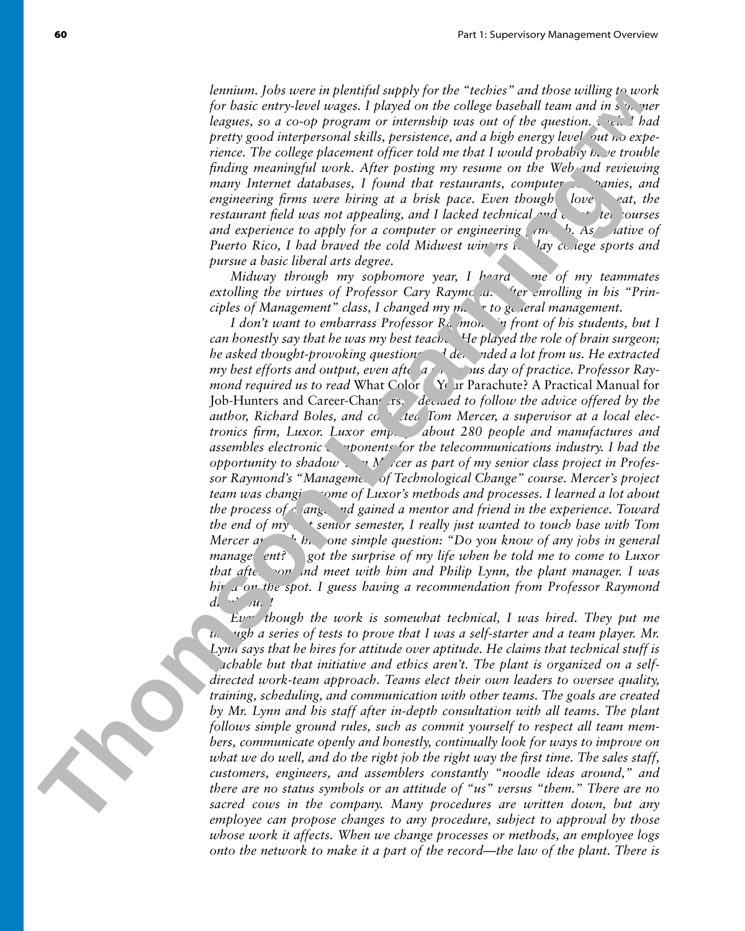*lennium. Jobs were in plentiful supply for the "techies" and those willing twork for basic entry-level wages. I played on the college baseball team and in summer leagues, so a co-op program or internship was out of the question. I full had pretty good interpersonal skills, persistence, and a high energy level, but no experience. The college placement officer told me that I would probably have trouble finding meaningful work. After posting my resume on the Web and reviewing many Internet databases, I found that restaurants, computer* companies, and *engineering firms were hiring at a brisk pace. Even though love eat, the restaurant field was not appealing, and I lacked technical and computer courses and experience to apply for a computer or engineering*  $\overline{m}$  *b. As altive of Puerto Rico, I had braved the cold Midwest wings to lay college sports and pursue a basic liberal arts degree.* 

*Midway through my sophomore year, I heard some of my teammates* extolling the virtues of Professor Cary Raymond. <sup>4</sup> Ter enrolling in his "Prin*ciples of Management" class, I changed my m. r to general management.* 

*I don't want to embarrass Professor Raymon* in front of his students, but I *can honestly say that he was my best teach.* He played the role of brain surgeon; *he asked thought-provoking question* dellarged a lot from us. He extracted *my best efforts and output, even after a* strange *day of practice. Professor Raymond required us to read* What Color <sup>I</sup> Your Parachute? A Practical Manual for Job-Hunters and Career-Changers. *decided to follow the advice offered by the author, Richard Boles, and contacted Tom Mercer, a supervisor at a local electronics firm, Luxor. Luxor employs about 280 people and manufactures and assembles electronic components for the telecommunications industry. I had the opportunity to shadow*  $\Lambda$  *N cer as part of my senior class project in Profes*sor Raymond's "Manageme<sub>r</sub> of Technological Change" course. Mercer's project *team was changing some of Luxor's methods and processes. I learned a lot about the process of change and gained a mentor and friend in the experience. Toward the end of my*  $\cdot$  *t senior semester, I really just wanted to touch base with Tom Mercer a*<sup>1</sup> *h<sub>im</sub>* one simple question: "Do you know of any jobs in general *manage ent?* got the surprise of my life when he told me to come to Luxor *that afternon and meet with him and Philip Lynn, the plant manager. I was hi*  $\mu$  on the spot. I guess having a recommendation from Professor Raymond *didn't hurt!* Interiming look to the set of plastic and the encoding look that is considered in the set of the set of the set of the set of the set of the set of the set of the set of the set of the set of the set of the set of the set

*E*<sup>*I*</sup> though the work is somewhat technical, I was hired. They put me *t<sub>h</sub>* ugh a series of tests to prove that I was a self-starter and a team player. Mr. *Lynn says that he hires for attitude over aptitude. He claims that technical stuff is ichable but that initiative and ethics aren't. The plant is organized on a selfdirected work-team approach. Teams elect their own leaders to oversee quality, training, scheduling, and communication with other teams. The goals are created by Mr. Lynn and his staff after in-depth consultation with all teams. The plant follows simple ground rules, such as commit yourself to respect all team members, communicate openly and honestly, continually look for ways to improve on what we do well, and do the right job the right way the first time. The sales staff, customers, engineers, and assemblers constantly "noodle ideas around," and there are no status symbols or an attitude of "us" versus "them." There are no sacred cows in the company. Many procedures are written down, but any employee can propose changes to any procedure, subject to approval by those whose work it affects. When we change processes or methods, an employee logs onto the network to make it a part of the record—the law of the plant. There is*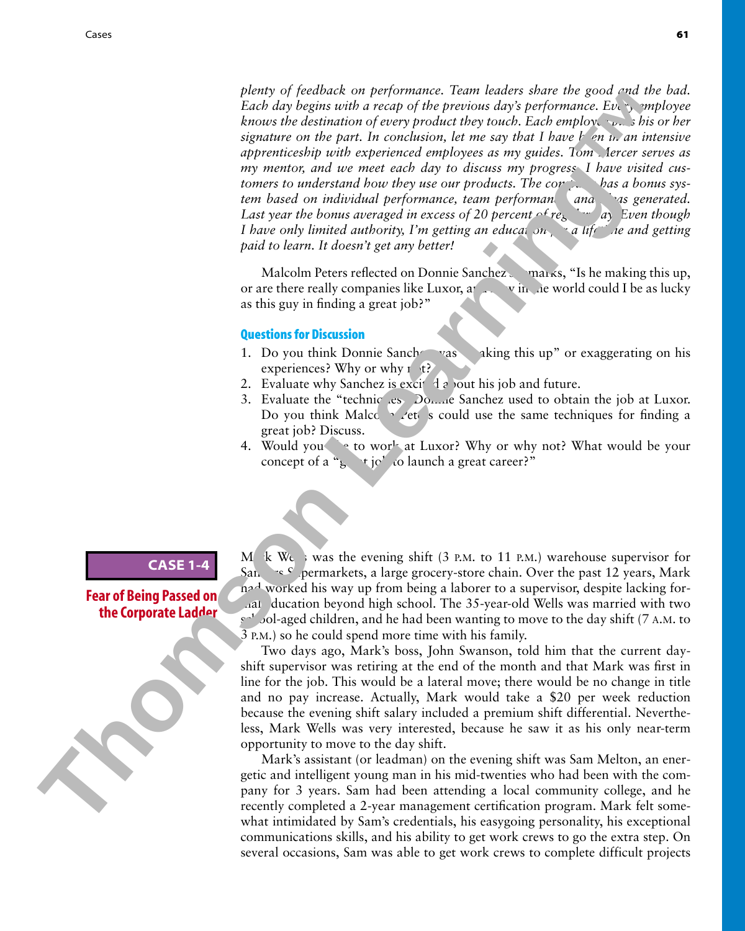*plenty of feedback on performance. Team leaders share the good* and the bad. *Each day begins with a recap of the previous day's performance. Fivere the ployee knows the destination of every product they touch. Each employed puts his or her signature on the part. In conclusion, let me say that I have*  $\frac{1}{2}$  *in an intensive apprenticeship with experienced employees as my guides. Tom Mercer serves as my mentor, and we meet each day to discuss my progress. I have visited customers to understand how they use our products. The corpulation has a bonus system based on individual performance, team performan*ce, and independence. *Last year the bonus averaged in excess of 20 percent of regular pay. Even though I have only limited authority, I'm getting an education for a lifetime and getting paid to learn. It doesn't get any better!* **players** of factorial corporation. The multipartic depted on the good  $\times$  **there** is a specific to the corporation of exception of the specific to the specific to the good in the specific to the specific to the specific

Malcolm Peters reflected on Donnie Sanchez marks, "Is he making this up, or are there really companies like Luxor,  $a \rightarrow \nu$  in the world could I be as lucky as this guy in finding a great job?"

#### **Questions for Discussion**

- 1. Do you think Donnie Sancher was say taking this up" or exaggerating on his experiences? Why or why  $\uparrow$   $\uparrow$ ?
- 2. Evaluate why Sanchez is excit  $\frac{1}{2}$  out his job and future.
- 3. Evaluate the "technicues" Domne Sanchez used to obtain the job at Luxor. Do you think Malcolm Peters could use the same techniques for finding a great job? Discuss.
- 4. Would you **come to work at Luxor?** Why or why not? What would be your concept of a "g.  $\pm j\sigma$ " to launch a great career?"

## **CASE 1-4**

# **Fear of Being Passed on**

 $M_{\kappa}$  We ; was the evening shift (3 P.M. to 11 P.M.) warehouse supervisor for Sanders Supermarkets, a large grocery-store chain. Over the past 12 years, Mark  $n<sup>3</sup>$  worked his way up from being a laborer to a supervisor, despite lacking formal education beyond high school. The 35-year-old Wells was married with two sol-aged children, and he had been wanting to move to the day shift (7 A.M. to  $\overline{3}$  P.M.) so he could spend more time with his family.

Two days ago, Mark's boss, John Swanson, told him that the current dayshift supervisor was retiring at the end of the month and that Mark was first in line for the job. This would be a lateral move; there would be no change in title and no pay increase. Actually, Mark would take a \$20 per week reduction because the evening shift salary included a premium shift differential. Nevertheless, Mark Wells was very interested, because he saw it as his only near-term opportunity to move to the day shift.

Mark's assistant (or leadman) on the evening shift was Sam Melton, an energetic and intelligent young man in his mid-twenties who had been with the company for 3 years. Sam had been attending a local community college, and he recently completed a 2-year management certification program. Mark felt somewhat intimidated by Sam's credentials, his easygoing personality, his exceptional communications skills, and his ability to get work crews to go the extra step. On several occasions, Sam was able to get work crews to complete difficult projects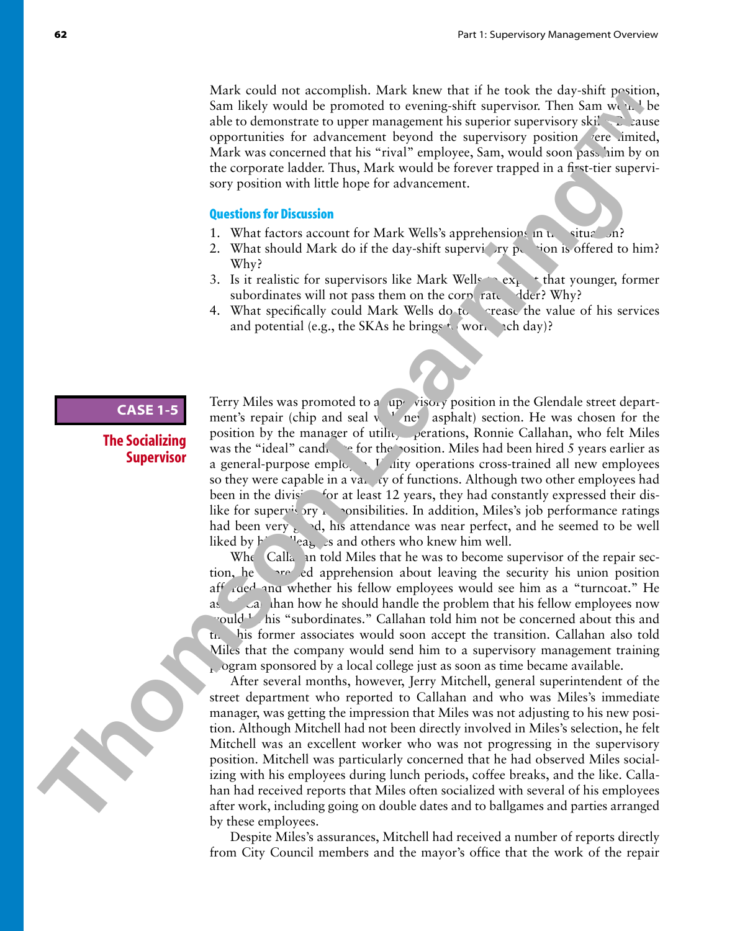Mark could not accomplish. Mark knew that if he took the day-shift  $p$  vion, Sam likely would be promoted to evening-shift supervisor. Then Sam would be able to demonstrate to upper management his superior supervisory skills. Because opportunities for advancement beyond the supervisory position vere mnited, Mark was concerned that his "rival" employee, Sam, would soon pass im by on the corporate ladder. Thus, Mark would be forever trapped in a first-tier supervisory position with little hope for advancement.

#### **Questions for Discussion**

- 1. What factors account for Mark Wells's apprehensions in  $\mathbf{u}$  situ $\mathbf{u}$ ?
- 2. What should Mark do if the day-shift supervicity position is offered to him? Why?
- 3. Is it realistic for supervisors like Mark Wells  $\sim$  ex<sub>pect</sub> that younger, former subordinates will not pass them on the corporational der? Why?
- 4. What specifically could Mark Wells do to crease the value of his services and potential (e.g., the SKAs he brings to work the day)?

## **CASE 1-5**

# **The Socializing**

Terry Miles was promoted to a supervisory position in the Glendale street department's repair (chip and seal with new asphalt) section. He was chosen for the position by the manager of utility perations, Ronnie Callahan, who felt Miles was the "ideal" candidate for the position. Miles had been hired 5 years earlier as a general-purpose employees. Utility operations cross-trained all new employees so they were capable in a variety of functions. Although two other employees had been in the division for at least 12 years, they had constantly expressed their dislike for supervisory responsibilities. In addition, Miles's job performance ratings had been very  $\mathcal{A}$ , his attendance was near perfect, and he seemed to be well liked by  $h^{\prime}$   $\left( \begin{array}{cc} 2a_1 & b_2 \\ c_2 & c_3 \end{array} \right)$  and others who knew him well.

 $Wh\epsilon$  Calla in told Miles that he was to become supervisor of the repair section, he expressed apprehension about leaving the security his union position aff  $\alpha$ ued and whether his fellow employees would see him as a "turncoat." He as each call han how he should handle the problem that his fellow employees now "ould" his "subordinates." Callahan told him not be concerned about this and  $t<sub>th</sub>$  his former associates would soon accept the transition. Callahan also told Miles that the company would send him to a supervisory management training program sponsored by a local college just as soon as time became available.

After several months, however, Jerry Mitchell, general superintendent of the street department who reported to Callahan and who was Miles's immediate manager, was getting the impression that Miles was not adjusting to his new position. Although Mitchell had not been directly involved in Miles's selection, he felt Mitchell was an excellent worker who was not progressing in the supervisory position. Mitchell was particularly concerned that he had observed Miles socializing with his employees during lunch periods, coffee breaks, and the like. Callahan had received reports that Miles often socialized with several of his employees after work, including going on double dates and to ballgames and parties arranged by these employees. Mark could be a second in the second in the second interviewer in the second technology is the second of the second and the second of the second of the second of the second of the second of the second of the second of the

> Despite Miles's assurances, Mitchell had received a number of reports directly from City Council members and the mayor's office that the work of the repair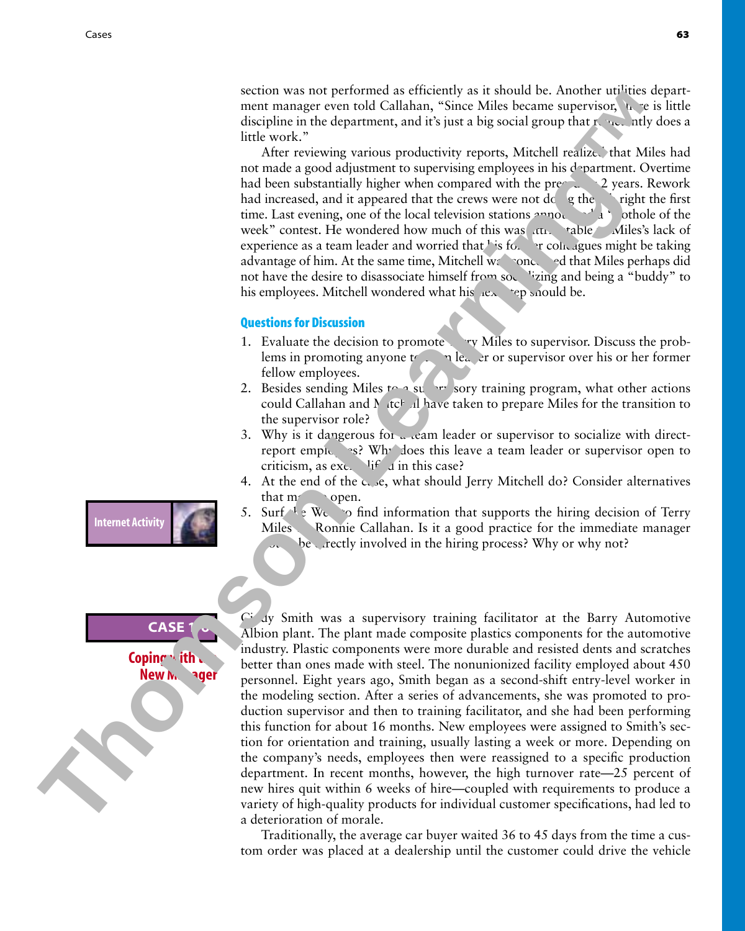section was not performed as efficiently as it should be. Another utilities department manager even told Callahan, "Since Miles became supervisor, then is little discipline in the department, and it's just a big social group that  $\epsilon$ .  $\epsilon_{\text{ta}}$  ly does a little work."

After reviewing various productivity reports, Mitchell realized that Miles had not made a good adjustment to supervising employees in his  $d$  partment. Overtime had been substantially higher when compared with the preceding 2 years. Rework had increased, and it appeared that the crews were not doing the injection right the first time. Last evening, one of the local television stations  $\alpha$  nounced a "pothole of the week" contest. He wondered how much of this was .tu. table Miles's lack of experience as a team leader and worried that  $h$  is form the sum agues might be taking advantage of him. At the same time, Mitchell was concerned that Miles perhaps did not have the desire to disassociate himself from socializing and being a "buddy" to his employees. Mitchell wondered what his  $\text{max}$  should be.

#### **Questions for Discussion**

- 1. Evaluate the decision to promote Try Miles to supervisor. Discuss the problems in promoting anyone  $t \rightarrow \infty$  and leader or supervisor over his or her former fellow employees.
- 2. Besides sending Miles  $t \sim \infty$  supervisory training program, what other actions could Callahan and M<sub>itch</sub>  $\Lambda$  have taken to prepare Miles for the transition to the supervisor role?
- 3. Why is it dangerous for a team leader or supervisor to socialize with directreport employees? Why does this leave a team leader or supervisor open to criticism, as exert  $\mathbf{I}^{\text{if}}$  d in this case?
- 4. At the end of the case, what should Jerry Mitchell do? Consider alternatives that  $m \rightarrow$  open.
- 5. Surf  $\frac{1}{2}$  We  $\frac{1}{2}$  find information that supports the hiring decision of Terry Miles Ronnie Callahan. Is it a good practice for the immediate manager be rectly involved in the hiring process? Why or why not?



Traditionally, the average car buyer waited 36 to 45 days from the time a custom order was placed at a dealership until the customer could drive the vehicle



**CASE 1-6**

**Coping vith New Manager**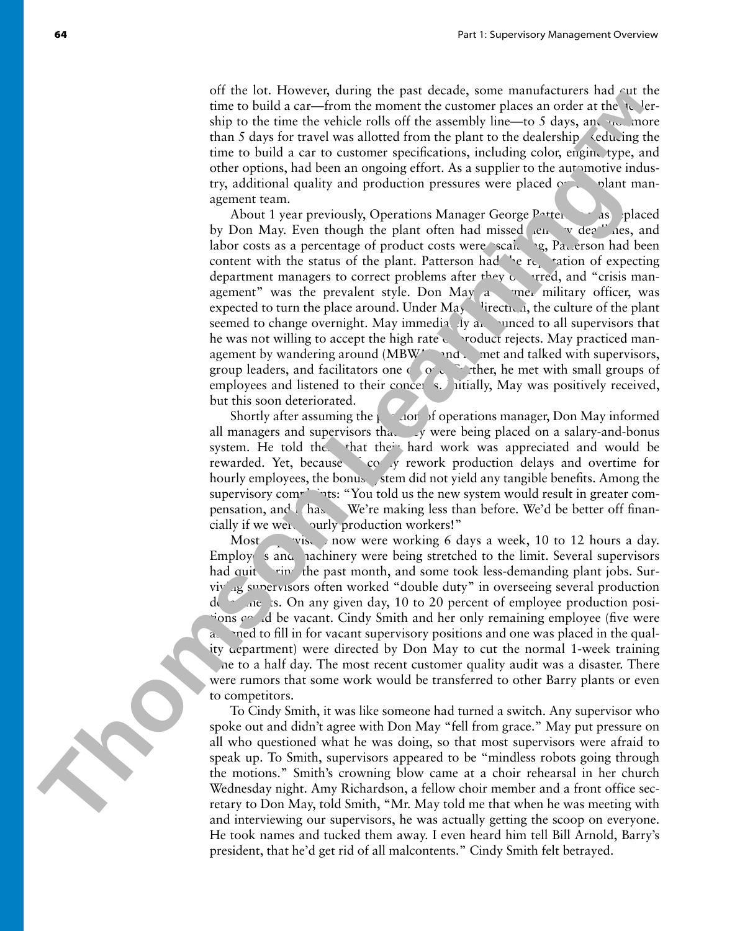off the lot. However, during the past decade, some manufacturers had  $\epsilon$  the time to build a car—from the moment the customer places an order at the  $d_1$  and  $r$ ship to the time the vehicle rolls off the assembly line—to 5 days,  $a^{\dagger}a^{\dagger}a$ . ore than 5 days for travel was allotted from the plant to the dealership. Peducing the time to build a car to customer specifications, including color, engine ype, and other options, had been an ongoing effort. As a supplier to the automotive industry, additional quality and production pressures were placed  $\circ$ .  $\bullet$  plant management team.

About 1 year previously, Operations Manager George Patterson as placed by Don May. Even though the plant often had missed entity derivers, and labor costs as a percentage of product costs were scalating, Patterson had been content with the status of the plant. Patterson had the reputation of expecting department managers to correct problems after they occurred, and "crisis management" was the prevalent style. Don May a former military officer, was expected to turn the place around. Under  $\text{Ma}$ <sup>1</sup>irection, the culture of the plant seemed to change overnight. May immediately an numerounced to all supervisors that he was not willing to accept the high rate  $\sqrt{\ }$  roduct rejects. May practiced management by wandering around (MBW<sup>/</sup> nd, met and talked with supervisors, group leaders, and facilitators one  $\left( \begin{array}{ccc} \circ & \circ & \circ \end{array} \right)$  extricts the met with small groups of employees and listened to their concers. Initially, May was positively received, but this soon deteriorated. of the lot. However, during the past decade, some manufactures had a single of the lot. However, during the same manufactures had a single of the case of the same in the same of the same of the same of the same of the same

Shortly after assuming the position of operations manager, Don May informed all managers and supervisors that  $\frac{1}{\sqrt{2}}$  were being placed on a salary-and-bonus system. He told them that their hard work was appreciated and would be rewarded. Yet, because of costly rework production delays and overtime for hourly employees, the bonus stem did not yield any tangible benefits. Among the supervisory come lints: "You told us the new system would result in greater compensation, and thas We're making less than before. We'd be better off financially if we were not production workers!"

Most visch now were working 6 days a week, 10 to 12 hours a day. Employ  $\sin \alpha$  hachinery were being stretched to the limit. Several supervisors had quit during the past month, and some took less-demanding plant jobs. Surviving supervisors often worked "double duty" in overseeing several production departments. On any given day, 10 to 20 percent of employee production positions could be vacant. Cindy Smith and her only remaining employee (five were as red to fill in for vacant supervisory positions and one was placed in the quality department) were directed by Don May to cut the normal 1-week training he to a half day. The most recent customer quality audit was a disaster. There were rumors that some work would be transferred to other Barry plants or even to competitors.

To Cindy Smith, it was like someone had turned a switch. Any supervisor who spoke out and didn't agree with Don May "fell from grace." May put pressure on all who questioned what he was doing, so that most supervisors were afraid to speak up. To Smith, supervisors appeared to be "mindless robots going through the motions." Smith's crowning blow came at a choir rehearsal in her church Wednesday night. Amy Richardson, a fellow choir member and a front office secretary to Don May, told Smith, "Mr. May told me that when he was meeting with and interviewing our supervisors, he was actually getting the scoop on everyone. He took names and tucked them away. I even heard him tell Bill Arnold, Barry's president, that he'd get rid of all malcontents." Cindy Smith felt betrayed.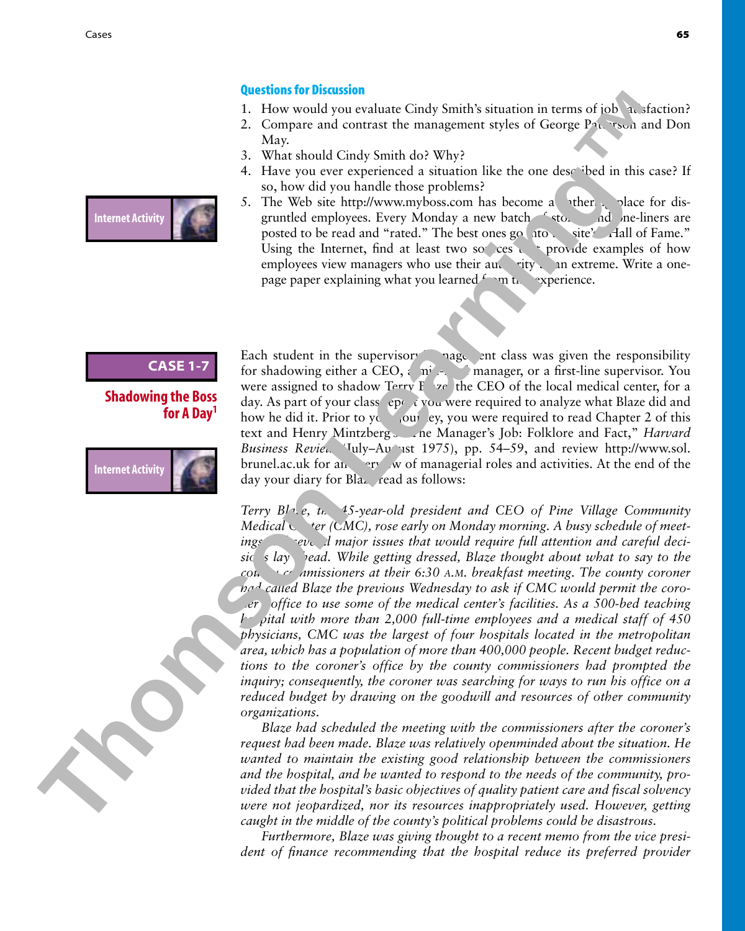## **Questions for Discussion**

- 1. How would you evaluate Cindy Smith's situation in terms of  $i \rightarrow b s$ , tis action?
- 2. Compare and contrast the management styles of George  $P$  the son and Don May.
- 3. What should Cindy Smith do? Why?
- 4. Have you ever experienced a situation like the one descebed in this case? If so, how did you handle those problems?
- 5. The Web site http://www.myboss.com has become a sthere in place for disgruntled employees. Every Monday a new batch  $\epsilon$  stories and one-liners are posted to be read and "rated." The best ones go ato site' Aall of Fame." Using the Internet, find at least two sources that provide examples of how employees view managers who use their authority to an extreme. Write a onepage paper explaining what you learned  $f_{\text{max}}$  the experience.

# **CASE 1-7**

# **Shadowing the Boss for A Day1**



Each student in the supervisory age ent class was given the responsibility for shadowing either a CEO,  $\{m^i\}$  manager, or a first-line supervisor. You were assigned to shadow  $Term B$  ze the CEO of the local medical center, for a day. As part of your class  $\text{epo}$  you were required to analyze what Blaze did and how he did it. Prior to  $y_0 + \alpha y$  ey, you were required to read Chapter 2 of this text and Henry Mintzberg. An Manager's Job: Folklore and Fact," *Harvard Business Review* (July–August 1975), pp. 54–59, and review http://www.sol. brunel.ac.uk for an  $\gamma$  w of managerial roles and activities. At the end of the day your diary for Blaze read as follows:

*Terry B<sub>1</sub><sup>* $\alpha$ *</sup> e, t<sub>he</sub> 45-year-old president and CEO of Pine Village Community Medical*  $\left\langle \cdot \right\rangle$  ter (CMC), rose early on Monday morning. A busy schedule of meetings and *even if major issues that would require full attention and careful decisic s* lay bead. While getting dressed, Blaze thought about what to say to the *county commissioners at their 6:30 A.M. breakfast meeting. The county coroner had called Blaze the previous Wednesday to ask if CMC would permit the coroner's office to use some of the medical center's facilities. As a 500-bed teaching hospital with more than 2,000 full-time employees and a medical staff of 450 physicians, CMC was the largest of four hospitals located in the metropolitan area, which has a population of more than 400,000 people. Recent budget reductions to the coroner's office by the county commissioners had prompted the inquiry; consequently, the coroner was searching for ways to run his office on a reduced budget by drawing on the goodwill and resources of other community organizations.* **Reserved and Content Constraint** in the main of the state of the state of the state of the state of the state of the state of the state of the state of the state of the state of the state of the state of the state of the

*Blaze had scheduled the meeting with the commissioners after the coroner's request had been made. Blaze was relatively openminded about the situation. He wanted to maintain the existing good relationship between the commissioners and the hospital, and he wanted to respond to the needs of the community, provided that the hospital's basic objectives of quality patient care and fiscal solvency were not jeopardized, nor its resources inappropriately used. However, getting caught in the middle of the county's political problems could be disastrous.*

*Furthermore, Blaze was giving thought to a recent memo from the vice president of finance recommending that the hospital reduce its preferred provider*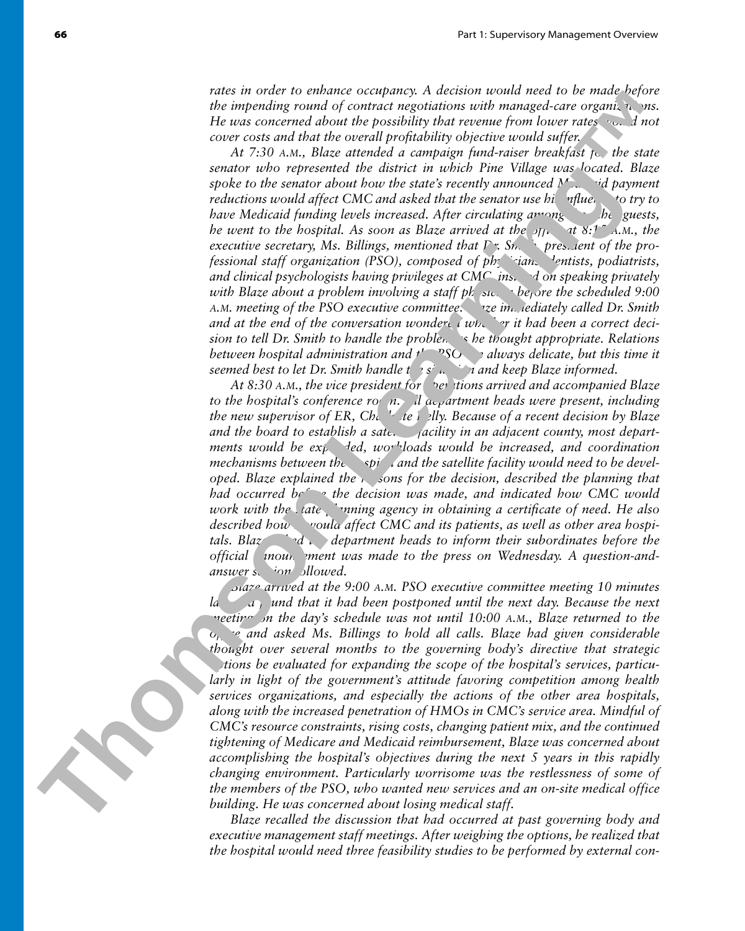*rates in order to enhance occupancy. A decision would need to be made before the impending round of contract negotiations with managed-care organizations. He was concerned about the possibility that revenue from lower rates would not cover costs and that the overall profitability objective would suffer.*

At 7:30 A.M., Blaze attended a campaign fund-raiser breakfast for the state *senator who represented the district in which Pine Village was located. Blaze spoke to the senator about how the state's recently announced*  $M_{\text{rel}}$  *id payment reductions would affect CMC and asked that the senator use hightluence to try to have Medicaid funding levels increased. After circulating among the guests, he went to the hospital. As soon as Blaze arrived at the*  $\delta$ *<sub><i>II*</sub>, at  $8:75$  A.M., the *executive secretary, Ms. Billings, mentioned that*  $\Gamma$  *Si. pres. lent of the professional staff organization (PSO), composed of physician, dentists, podiatrists, and clinical psychologists having privileges at CMC insignal on speaking privately with Blaze about a problem involving a staff pl. sude before the scheduled 9:00* A.M. meeting of the PSO executive committee. Free immediately called Dr. Smith and at the end of the conversation wonder *i* when the *decision to tell Dr. Smith to handle the proble. she thought appropriate. Relations between hospital administration and i* PSO and always delicate, but this time it *seemed best to let Dr. Smith handle the situation and keep Blaze informed.* The interaction of the content of details are completed to be made for the case of the case of the station of the content of the content of the content of the content of the content of the content of the content of the co

At 8:30 A.M., the vice president for *per* tions arrived and accompanied Blaze *to the hospital's conference ro*m. All apartment heads were present, including *the new supervisor of ER, Charlotte Kelly. Because of a recent decision by Blaze and the board to establish a sate. dacility in an adjacent county, most departments would be exp.* Hed, wo hoads would be increased, and coordination *mechanisms between the*  $\rightarrow$  *objetand the satellite facility would need to be developed. Blaze explained the reasons for the decision, described the planning that had occurred be part the decision was made, and indicated how CMC would work with the tate planning agency in obtaining a certificate of need. He also* described how voula affect CMC and its patients, as well as other area hospi*tals. Blaze asked the department heads to inform their subordinates before the* official *moun* ement was made to the press on Wednesday. A question-and*answer serior sllowed.* 

*Blaze arrived at the 9:00 A.M. PSO executive committee meeting 10 minutes la a und that it had been postponed until the next day. Because the next meeting on the day's schedule was not until 10:00 A.M., Blaze returned to the office and asked Ms. Billings to hold all calls. Blaze had given considerable thought over several months to the governing body's directive that strategic* tions be evaluated for expanding the scope of the hospital's services, particu*larly in light of the government's attitude favoring competition among health services organizations, and especially the actions of the other area hospitals, along with the increased penetration of HMOs in CMC's service area. Mindful of CMC's resource constraints, rising costs, changing patient mix, and the continued tightening of Medicare and Medicaid reimbursement, Blaze was concerned about accomplishing the hospital's objectives during the next 5 years in this rapidly changing environment. Particularly worrisome was the restlessness of some of the members of the PSO, who wanted new services and an on-site medical office building. He was concerned about losing medical staff.*

*Blaze recalled the discussion that had occurred at past governing body and executive management staff meetings. After weighing the options, he realized that the hospital would need three feasibility studies to be performed by external con-*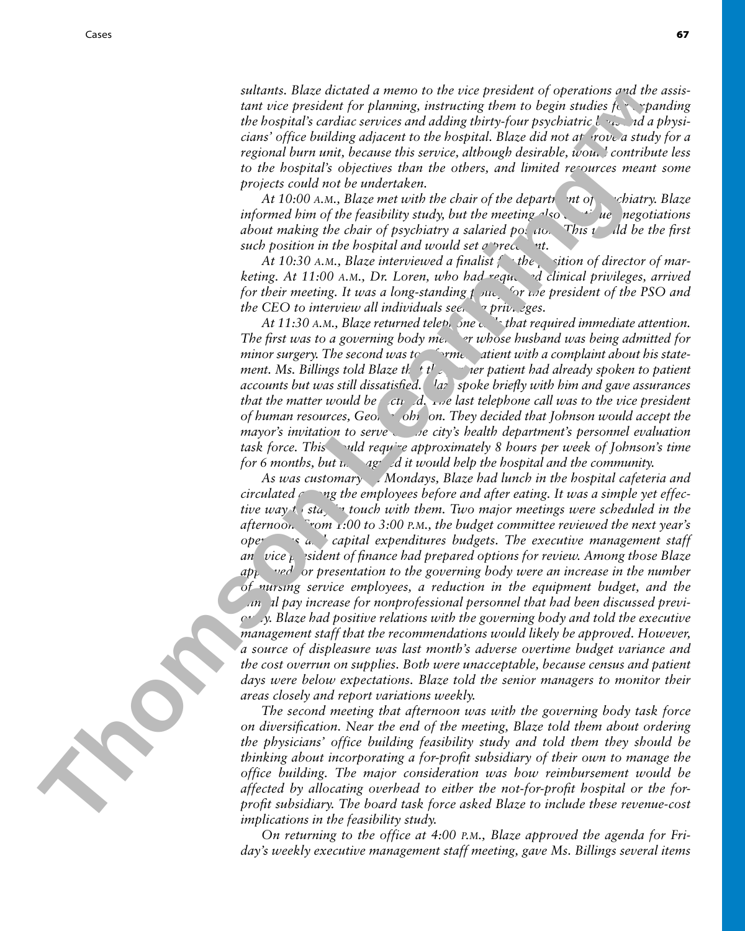*sultants. Blaze dictated a memo to the vice president of operations*  $\ell$ *, the assistant vice president for planning, instructing them to begin studies for expanding the hospital's cardiac services and adding thirty-four psychiatric bells and physicians' office building adjacent to the hospital. Blaze did not a rove a study for a regional burn unit, because this service, although desirable, would contribute less* to the hospital's objectives than the others, and limited resources meant some *projects could not be undertaken.*

At 10:00 A.M., *Blaze met with the chair of the department of probiatry. Blaze informed him of the feasibility study, but the meeting also componential negotiations about making the chair of psychiatry a salaried polition. This would be the first such position in the hospital and would set a precent.* 

At 10:30 A.M., Blaze interviewed a finalist for the position of director of mar*keting. At 11:00 A.M., Dr. Loren, who had reque delinical privileges, arrived for their meeting. It was a long-standing policy for the president of the PSO and the CEO to interview all individuals see.*  $\gamma$ *priv. 2ges.* 

At 11:30 A.M., Blaze returned telephone calls that required immediate attention. *The first was to a governing body me. For whose husband was being admitted for* minor surgery. The second was to *a former patient with a complaint about his statement. Ms. Billings told Blaze that the former patient had already spoken to patient accounts but was still dissatisfied.* as spoke briefly with him and gave assurances *that the matter would be cu<sub>recti</sub> d. The last telephone call was to the vice president of human resources, Geo.* If *oh* on. They decided that Johnson would accept the *mayor's invitation to serve* sectly's health department's personnel evaluation *task force. This wild require approximately 8 hours per week of Johnson's time for 6 months, but the greed it would help the hospital and the community.* salarots. Blood denoted a masson of the value president of operators. The boundary and the contents of the contents of the salarots of the salarots of the contents of the contents of the contents of the contents of the co

As was customary Mondays, Blaze had lunch in the hospital cafeteria and *circulated* and the employees before and after eating. It was a simple yet effec*tive way in staging touch with them. Two major meetings were scheduled in the afternoon. From 1:00 to 3:00 P.M., the budget committee reviewed the next year's operations and capital expenditures budgets. The executive management staff and vice president of finance had prepared options for review. Among those Blaze approved for presentation to the governing body were an increase in the number of nursing service employees, a reduction in the equipment budget, and the* an ul pay increase for nonprofessional personnel that had been discussed previ-

*j.* Blaze had positive relations with the governing body and told the executive *management staff that the recommendations would likely be approved. However, a source of displeasure was last month's adverse overtime budget variance and the cost overrun on supplies. Both were unacceptable, because census and patient days were below expectations. Blaze told the senior managers to monitor their areas closely and report variations weekly.*

*The second meeting that afternoon was with the governing body task force on diversification. Near the end of the meeting, Blaze told them about ordering the physicians' office building feasibility study and told them they should be thinking about incorporating a for-profit subsidiary of their own to manage the office building. The major consideration was how reimbursement would be affected by allocating overhead to either the not-for-profit hospital or the forprofit subsidiary. The board task force asked Blaze to include these revenue-cost implications in the feasibility study.*

*On returning to the office at 4:00 P.M., Blaze approved the agenda for Friday's weekly executive management staff meeting, gave Ms. Billings several items*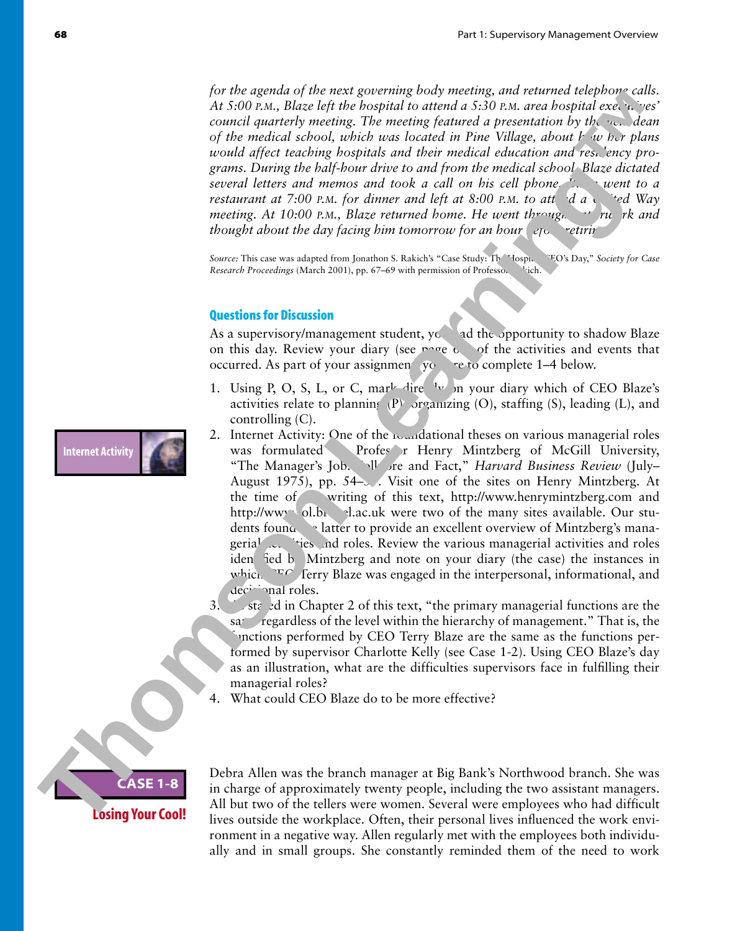*for the agenda of the next governing body meeting, and returned telephone calls. At 5:00 P.M., Blaze left the hospital to attend a 5:30 P.M. area hospital executives' council quarterly meeting. The meeting featured a presentation by the new lean of the medical school, which was located in Pine Village, about how her plans* would affect teaching hospitals and their medical education and resulately pro*grams. During the half-hour drive to and from the medical school, Blaze dictated several letters and memos and took a call on his cell phone. Blaze went to a restaurant at 7:00 P.M. for dinner and left at 8:00 P.M. to att* d a united Way *meeting. At 10:00 P.M., Blaze returned home. He went through paperwork and thought about the day facing him tomorrow for an hour equality retiring.* 

*Source:* This case was adapted from Jonathon S. Rakich's "Case Study: 1h "Iospital CEO's Day," Society for Case *Research Proceedings* (March 2001), pp. 67–69 with permission of Professo. Fich.

### **Questions for Discussion**

As a supervisory/management student,  $y_c$  had the opportunity to shadow Blaze on this day. Review your diary (see  $p \rightarrow e \in \mathcal{C}$  of the activities and events that occurred. As part of your assignment, you are to complete  $1-4$  below.

- 1. Using P, O, S, L, or C, mark directly in your diary which of CEO Blaze's activities relate to planning (P) organizing (O), staffing (S), leading (L), and controlling (C).
- 2. Internet Activity: One of the  $\ldots$  dational theses on various managerial roles was formulated Profes r Henry Mintzberg of McGill University, "The Manager's Job. <sup>II</sup> sre and Fact," *Harvard Business Review* (July– August 1975), pp.  $54-5$ . Visit one of the sites on Henry Mintzberg. At the time of writing of this text, http://www.henrymintzberg.com and http://www.ol.brunel.ac.uk were two of the many sites available. Our students found a latter to provide an excellent overview of Mintzberg's managerial activities and roles. Review the various managerial activities and roles iden ied by Mintzberg and note on your diary (the case) the instances in which  $\mathbb{E}^{\mathcal{C}}$  ferry Blaze was engaged in the interpersonal, informational, and dec<sup>i-</sup> mal roles. For the agonal of the next governing hold precise and entered help<br>shown and process and the state of the median decode in the value of<br> $\mathcal{F}$  is the state of the median decode in the value of  $\mathcal{F}$ <br>is of the median
	- 3.  $\star$  stated in Chapter 2 of this text, "the primary managerial functions are the same regardless of the level within the hierarchy of management." That is, the functions performed by CEO Terry Blaze are the same as the functions performed by supervisor Charlotte Kelly (see Case 1-2). Using CEO Blaze's day as an illustration, what are the difficulties supervisors face in fulfilling their managerial roles?
	- What could CEO Blaze do to be more effective?



Debra Allen was the branch manager at Big Bank's Northwood branch. She was in charge of approximately twenty people, including the two assistant managers. All but two of the tellers were women. Several were employees who had difficult lives outside the workplace. Often, their personal lives influenced the work environment in a negative way. Allen regularly met with the employees both individually and in small groups. She constantly reminded them of the need to work

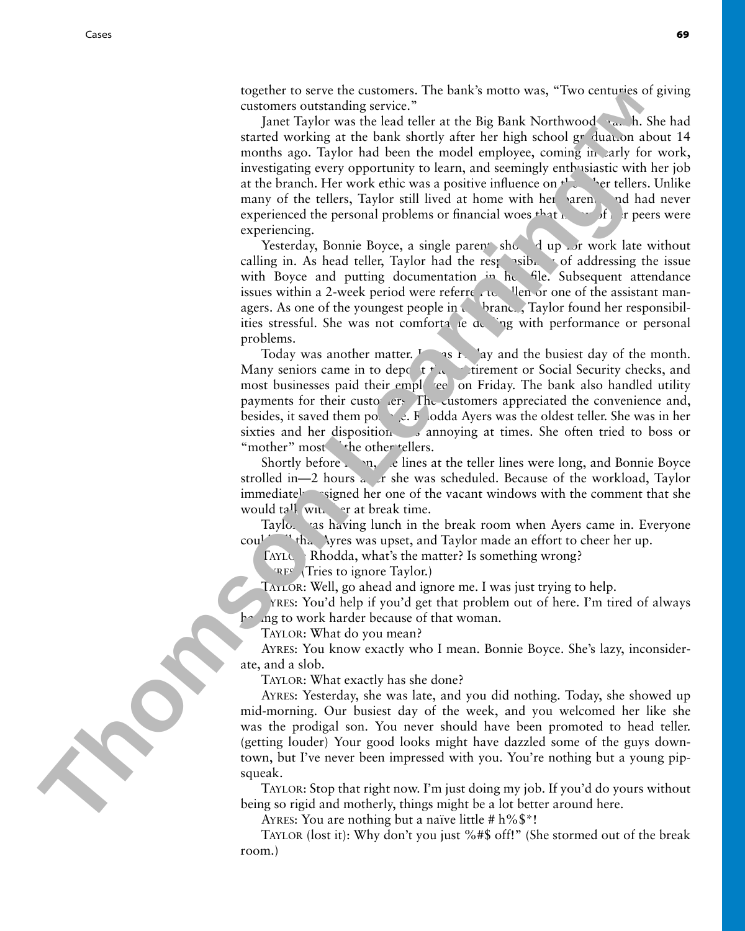together to serve the customers. The bank's motto was, "Two centuries of giving customers outstanding service."

Janet Taylor was the lead teller at the Big Bank Northwood by  $n_{\text{L}}$ . She had started working at the bank shortly after her high school graduation about 14 months ago. Taylor had been the model employee, coming in early for work, investigating every opportunity to learn, and seemingly enthusiastic with her job at the branch. Her work ethic was a positive influence on  $t$  or tellers. Unlike many of the tellers, Taylor still lived at home with her arents and had never experienced the personal problems or financial woes that  $\mathbf{h}$   $\mathbf{f}$  here were experiencing. represents on ever the customers.<sup>1</sup> The bank's motro was, "Two centure construents univariantly generate." In a fixed constraint and the particular state is the signal particular and the signal particular in the constrai

Yesterday, Bonnie Boyce, a single parent, showed up for work late without calling in. As head teller, Taylor had the responsibility of addressing the issue with Boyce and putting documentation in her fle. Subsequent attendance issues within a 2-week period were referred to  $\lambda$ len or one of the assistant managers. As one of the youngest people in  $\mathfrak{t}$  brance, Taylor found her responsibilities stressful. She was not comfortable dealing with performance or personal problems.

Today was another matter. It was Friday and the busiest day of the month. Many seniors came in to deposit the setiment or Social Security checks, and most businesses paid their employees on Friday. The bank also handled utility payments for their custo ers. The customers appreciated the convenience and, besides, it saved them postage.  $\ddot{\cdot}$ . Results are stage. She was in her sixties and her disposition was annoying at times. She often tried to boss or "mother" most the other tellers.

Shortly before  $\mathbf{r}$ ,  $\mathbf{r}$ ,  $\mathbf{r}$  e lines at the teller lines were long, and Bonnie Boyce strolled in—2 hours a  $\mathcal{F}$  she was scheduled. Because of the workload, Taylor immediate<sup>l</sup> assigned her one of the vacant windows with the comment that she would  $t^{\text{all}}$  with  $\gamma$  at break time.

Taylo. Fas having lunch in the break room when Ayers came in. Everyone  $\text{cou}^{\dagger}$  that Ayres was upset, and Taylor made an effort to cheer her up.

 $\text{TAYL}\cdot \text{Rhodda}$ , what's the matter? Is something wrong?

 $\forall R_{\text{F}}$  (Tries to ignore Taylor.)

TAYLOR: Well, go ahead and ignore me. I was just trying to help.

AYRES: You'd help if you'd get that problem out of here. I'm tired of always having to work harder because of that woman.

TAYLOR: What do you mean?

AYRES: You know exactly who I mean. Bonnie Boyce. She's lazy, inconsiderate, and a slob.

TAYLOR: What exactly has she done?

AYRES: Yesterday, she was late, and you did nothing. Today, she showed up mid-morning. Our busiest day of the week, and you welcomed her like she was the prodigal son. You never should have been promoted to head teller. (getting louder) Your good looks might have dazzled some of the guys downtown, but I've never been impressed with you. You're nothing but a young pipsqueak.

TAYLOR: Stop that right now. I'm just doing my job. If you'd do yours without being so rigid and motherly, things might be a lot better around here.

AYRES: You are nothing but a naïve little  $# h\%$ \$\*!

TAYLOR (lost it): Why don't you just %#\$ off!" (She stormed out of the break room.)